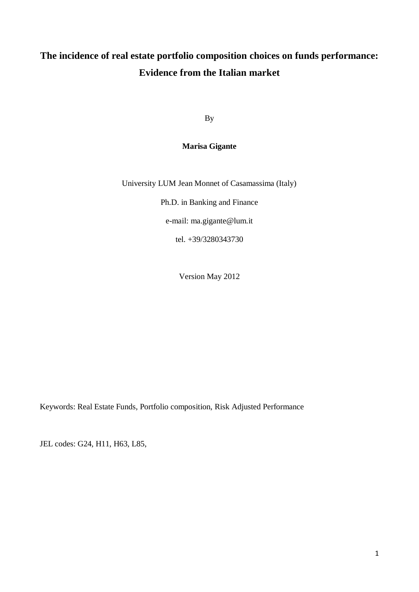# **The incidence of real estate portfolio composition choices on funds performance: Evidence from the Italian market**

By

### **Marisa Gigante**

University LUM Jean Monnet of Casamassima (Italy)

Ph.D. in Banking and Finance

e-mail: ma.gigante@lum.it

tel. +39/3280343730

Version May 2012

Keywords: Real Estate Funds, Portfolio composition, Risk Adjusted Performance

JEL codes: G24, H11, H63, L85,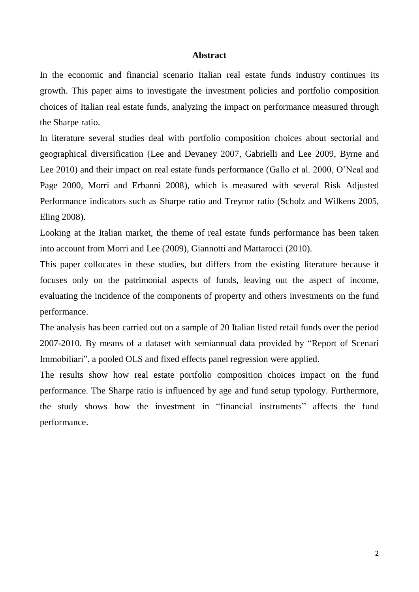#### **Abstract**

In the economic and financial scenario Italian real estate funds industry continues its growth. This paper aims to investigate the investment policies and portfolio composition choices of Italian real estate funds, analyzing the impact on performance measured through the Sharpe ratio.

In literature several studies deal with portfolio composition choices about sectorial and geographical diversification (Lee and Devaney 2007, Gabrielli and Lee 2009, Byrne and Lee 2010) and their impact on real estate funds performance (Gallo et al. 2000, O'Neal and Page 2000, Morri and Erbanni 2008), which is measured with several Risk Adjusted Performance indicators such as Sharpe ratio and Treynor ratio (Scholz and Wilkens 2005, Eling 2008).

Looking at the Italian market, the theme of real estate funds performance has been taken into account from Morri and Lee (2009), Giannotti and Mattarocci (2010).

This paper collocates in these studies, but differs from the existing literature because it focuses only on the patrimonial aspects of funds, leaving out the aspect of income, evaluating the incidence of the components of property and others investments on the fund performance.

The analysis has been carried out on a sample of 20 Italian listed retail funds over the period 2007-2010. By means of a dataset with semiannual data provided by "Report of Scenari Immobiliari", a pooled OLS and fixed effects panel regression were applied.

The results show how real estate portfolio composition choices impact on the fund performance. The Sharpe ratio is influenced by age and fund setup typology. Furthermore, the study shows how the investment in "financial instruments" affects the fund performance.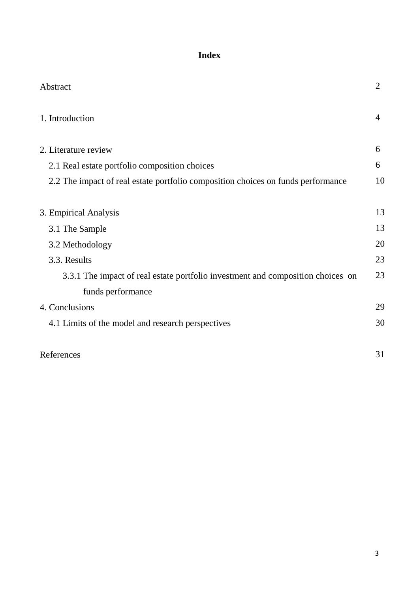# **Index**

| Abstract                                                                         | $\overline{2}$ |
|----------------------------------------------------------------------------------|----------------|
| 1. Introduction                                                                  | $\overline{4}$ |
| 2. Literature review                                                             | 6              |
| 2.1 Real estate portfolio composition choices                                    | 6              |
| 2.2 The impact of real estate portfolio composition choices on funds performance | 10             |
| 3. Empirical Analysis                                                            | 13             |
| 3.1 The Sample                                                                   | 13             |
| 3.2 Methodology                                                                  | 20             |
| 3.3. Results                                                                     | 23             |
| 3.3.1 The impact of real estate portfolio investment and composition choices on  | 23             |
| funds performance                                                                |                |
| 4. Conclusions                                                                   | 29             |
| 4.1 Limits of the model and research perspectives                                | 30             |
| References                                                                       | 31             |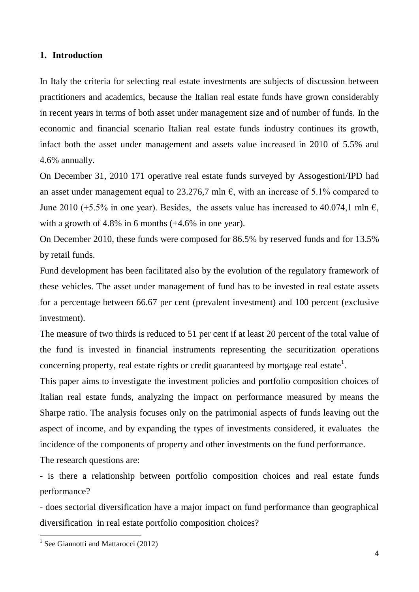### **1. Introduction**

In Italy the criteria for selecting real estate investments are subjects of discussion between practitioners and academics, because the Italian real estate funds have grown considerably in recent years in terms of both asset under management size and of number of funds. In the economic and financial scenario Italian real estate funds industry continues its growth, infact both the asset under management and assets value increased in 2010 of 5.5% and 4.6% annually.

On December 31, 2010 171 operative real estate funds surveyed by Assogestioni/IPD had an asset under management equal to 23.276,7 mln  $\epsilon$ , with an increase of 5.1% compared to June 2010 (+5.5% in one year). Besides, the assets value has increased to 40.074,1 mln  $\epsilon$ , with a growth of 4.8% in 6 months  $(+4.6\%$  in one year).

On December 2010, these funds were composed for 86.5% by reserved funds and for 13.5% by retail funds.

Fund development has been facilitated also by the evolution of the regulatory framework of these vehicles. The asset under management of fund has to be invested in real estate assets for a percentage between 66.67 per cent (prevalent investment) and 100 percent (exclusive investment).

The measure of two thirds is reduced to 51 per cent if at least 20 percent of the total value of the fund is invested in financial instruments representing the securitization operations concerning property, real estate rights or credit guaranteed by mortgage real estate<sup>1</sup>.

This paper aims to investigate the investment policies and portfolio composition choices of Italian real estate funds, analyzing the impact on performance measured by means the Sharpe ratio. The analysis focuses only on the patrimonial aspects of funds leaving out the aspect of income, and by expanding the types of investments considered, it evaluates the incidence of the components of property and other investments on the fund performance.

The research questions are:

- is there a relationship between portfolio composition choices and real estate funds performance?

- does sectorial diversification have a major impact on fund performance than geographical diversification in real estate portfolio composition choices?

1

<sup>&</sup>lt;sup>1</sup> See Giannotti and Mattarocci (2012)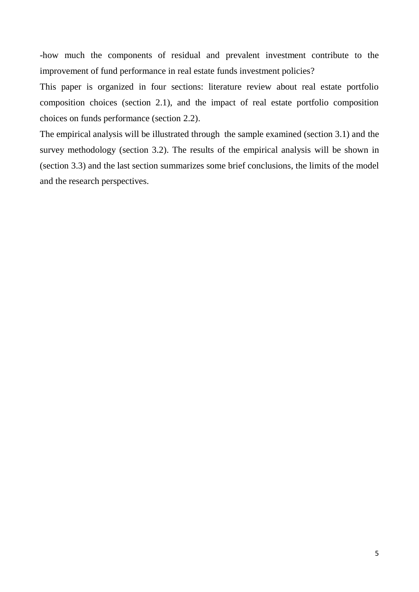-how much the components of residual and prevalent investment contribute to the improvement of fund performance in real estate funds investment policies?

This paper is organized in four sections: literature review about real estate portfolio composition choices (section 2.1), and the impact of real estate portfolio composition choices on funds performance (section 2.2).

The empirical analysis will be illustrated through the sample examined (section 3.1) and the survey methodology (section 3.2). The results of the empirical analysis will be shown in (section 3.3) and the last section summarizes some brief conclusions, the limits of the model and the research perspectives.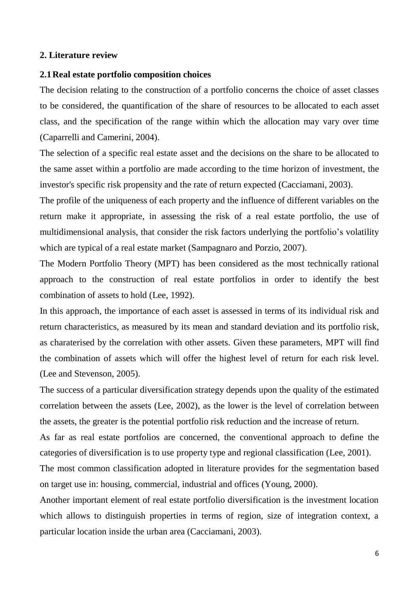#### **2. Literature review**

#### **2.1Real estate portfolio composition choices**

The decision relating to the construction of a portfolio concerns the choice of asset classes to be considered, the quantification of the share of resources to be allocated to each asset class, and the specification of the range within which the allocation may vary over time (Caparrelli and Camerini, 2004).

The selection of a specific real estate asset and the decisions on the share to be allocated to the same asset within a portfolio are made according to the time horizon of investment, the investor's specific risk propensity and the rate of return expected (Cacciamani, 2003).

The profile of the uniqueness of each property and the influence of different variables on the return make it appropriate, in assessing the risk of a real estate portfolio, the use of multidimensional analysis, that consider the risk factors underlying the portfolio's volatility which are typical of a real estate market (Sampagnaro and Porzio, 2007).

The Modern Portfolio Theory (MPT) has been considered as the most technically rational approach to the construction of real estate portfolios in order to identify the best combination of assets to hold (Lee, 1992).

In this approach, the importance of each asset is assessed in terms of its individual risk and return characteristics, as measured by its mean and standard deviation and its portfolio risk, as charaterised by the correlation with other assets. Given these parameters, MPT will find the combination of assets which will offer the highest level of return for each risk level. (Lee and Stevenson, 2005).

The success of a particular diversification strategy depends upon the quality of the estimated correlation between the assets (Lee, 2002), as the lower is the level of correlation between the assets, the greater is the potential portfolio risk reduction and the increase of return.

As far as real estate portfolios are concerned, the conventional approach to define the categories of diversification is to use property type and regional classification (Lee, 2001).

The most common classification adopted in literature provides for the segmentation based on target use in: housing, commercial, industrial and offices (Young, 2000).

Another important element of real estate portfolio diversification is the investment location which allows to distinguish properties in terms of region, size of integration context, a particular location inside the urban area (Cacciamani, 2003).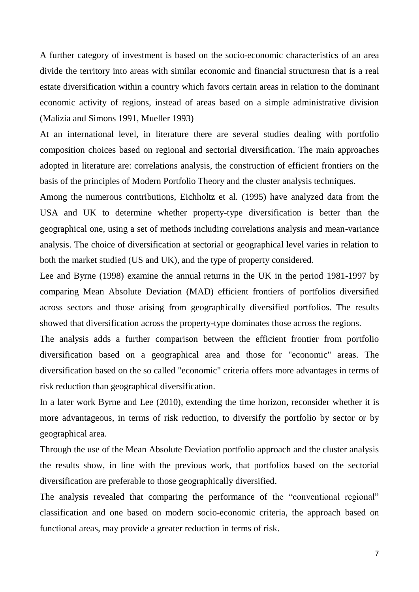A further category of investment is based on the socio-economic characteristics of an area divide the territory into areas with similar economic and financial structuresn that is a real estate diversification within a country which favors certain areas in relation to the dominant economic activity of regions, instead of areas based on a simple administrative division (Malizia and Simons 1991, Mueller 1993)

At an international level, in literature there are several studies dealing with portfolio composition choices based on regional and sectorial diversification. The main approaches adopted in literature are: correlations analysis, the construction of efficient frontiers on the basis of the principles of Modern Portfolio Theory and the cluster analysis techniques.

Among the numerous contributions, Eichholtz et al. (1995) have analyzed data from the USA and UK to determine whether property-type diversification is better than the geographical one, using a set of methods including correlations analysis and mean-variance analysis. The choice of diversification at sectorial or geographical level varies in relation to both the market studied (US and UK), and the type of property considered.

Lee and Byrne (1998) examine the annual returns in the UK in the period 1981-1997 by comparing Mean Absolute Deviation (MAD) efficient frontiers of portfolios diversified across sectors and those arising from geographically diversified portfolios. The results showed that diversification across the property-type dominates those across the regions.

The analysis adds a further comparison between the efficient frontier from portfolio diversification based on a geographical area and those for "economic" areas. The diversification based on the so called "economic" criteria offers more advantages in terms of risk reduction than geographical diversification.

In a later work Byrne and Lee (2010), extending the time horizon, reconsider whether it is more advantageous, in terms of risk reduction, to diversify the portfolio by sector or by geographical area.

Through the use of the Mean Absolute Deviation portfolio approach and the cluster analysis the results show, in line with the previous work, that portfolios based on the sectorial diversification are preferable to those geographically diversified.

The analysis revealed that comparing the performance of the "conventional regional" classification and one based on modern socio-economic criteria, the approach based on functional areas, may provide a greater reduction in terms of risk.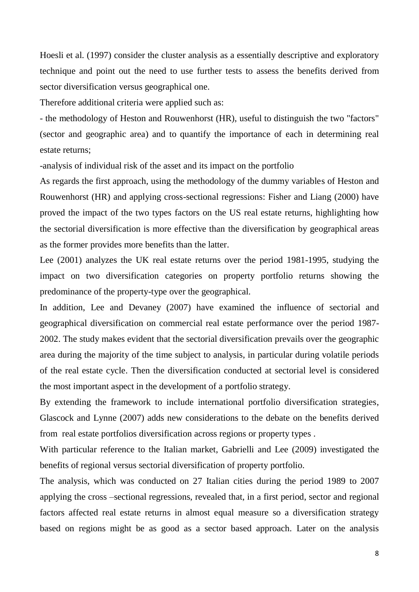Hoesli et al. (1997) consider the cluster analysis as a essentially descriptive and exploratory technique and point out the need to use further tests to assess the benefits derived from sector diversification versus geographical one.

Therefore additional criteria were applied such as:

- the methodology of Heston and Rouwenhorst (HR), useful to distinguish the two "factors" (sector and geographic area) and to quantify the importance of each in determining real estate returns;

-analysis of individual risk of the asset and its impact on the portfolio

As regards the first approach, using the methodology of the dummy variables of Heston and Rouwenhorst (HR) and applying cross-sectional regressions: Fisher and Liang (2000) have proved the impact of the two types factors on the US real estate returns, highlighting how the sectorial diversification is more effective than the diversification by geographical areas as the former provides more benefits than the latter.

Lee (2001) analyzes the UK real estate returns over the period 1981-1995, studying the impact on two diversification categories on property portfolio returns showing the predominance of the property-type over the geographical.

In addition, Lee and Devaney (2007) have examined the influence of sectorial and geographical diversification on commercial real estate performance over the period 1987- 2002. The study makes evident that the sectorial diversification prevails over the geographic area during the majority of the time subject to analysis, in particular during volatile periods of the real estate cycle. Then the diversification conducted at sectorial level is considered the most important aspect in the development of a portfolio strategy.

By extending the framework to include international portfolio diversification strategies, Glascock and Lynne (2007) adds new considerations to the debate on the benefits derived from real estate portfolios diversification across regions or property types .

With particular reference to the Italian market, Gabrielli and Lee (2009) investigated the benefits of regional versus sectorial diversification of property portfolio.

The analysis, which was conducted on 27 Italian cities during the period 1989 to 2007 applying the cross –sectional regressions, revealed that, in a first period, sector and regional factors affected real estate returns in almost equal measure so a diversification strategy based on regions might be as good as a sector based approach. Later on the analysis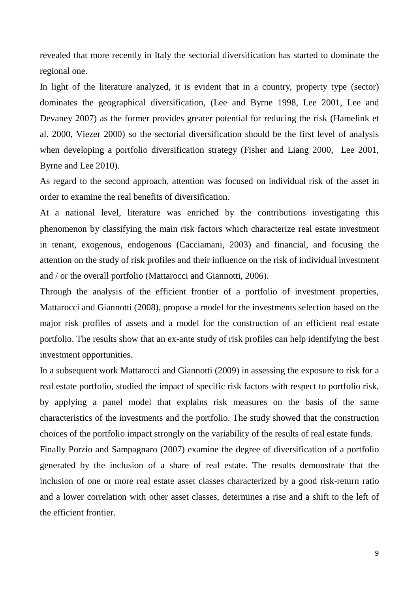revealed that more recently in Italy the sectorial diversification has started to dominate the regional one.

In light of the literature analyzed, it is evident that in a country, property type (sector) dominates the geographical diversification, (Lee and Byrne 1998, Lee 2001, Lee and Devaney 2007) as the former provides greater potential for reducing the risk (Hamelink et al. 2000, Viezer 2000) so the sectorial diversification should be the first level of analysis when developing a portfolio diversification strategy (Fisher and Liang 2000, Lee 2001, Byrne and Lee 2010).

As regard to the second approach, attention was focused on individual risk of the asset in order to examine the real benefits of diversification.

At a national level, literature was enriched by the contributions investigating this phenomenon by classifying the main risk factors which characterize real estate investment in tenant, exogenous, endogenous (Cacciamani, 2003) and financial, and focusing the attention on the study of risk profiles and their influence on the risk of individual investment and / or the overall portfolio (Mattarocci and Giannotti, 2006).

Through the analysis of the efficient frontier of a portfolio of investment properties, Mattarocci and Giannotti (2008), propose a model for the investments selection based on the major risk profiles of assets and a model for the construction of an efficient real estate portfolio. The results show that an ex-ante study of risk profiles can help identifying the best investment opportunities.

In a subsequent work Mattarocci and Giannotti (2009) in assessing the exposure to risk for a real estate portfolio, studied the impact of specific risk factors with respect to portfolio risk, by applying a panel model that explains risk measures on the basis of the same characteristics of the investments and the portfolio. The study showed that the construction choices of the portfolio impact strongly on the variability of the results of real estate funds. Finally Porzio and Sampagnaro (2007) examine the degree of diversification of a portfolio generated by the inclusion of a share of real estate. The results demonstrate that the inclusion of one or more real estate asset classes characterized by a good risk-return ratio

and a lower correlation with other asset classes, determines a rise and a shift to the left of the efficient frontier.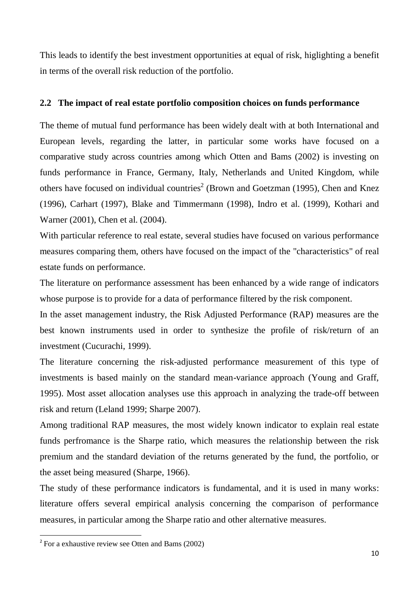This leads to identify the best investment opportunities at equal of risk, higlighting a benefit in terms of the overall risk reduction of the portfolio.

### **2.2 The impact of real estate portfolio composition choices on funds performance**

The theme of mutual fund performance has been widely dealt with at both International and European levels, regarding the latter, in particular some works have focused on a comparative study across countries among which Otten and Bams (2002) is investing on funds performance in France, Germany, Italy, Netherlands and United Kingdom, while others have focused on individual countries<sup>2</sup> (Brown and Goetzman (1995), Chen and Knez (1996), Carhart (1997), Blake and Timmermann (1998), Indro et al. (1999), Kothari and Warner (2001), Chen et al. (2004).

With particular reference to real estate, several studies have focused on various performance measures comparing them, others have focused on the impact of the "characteristics" of real estate funds on performance.

The literature on performance assessment has been enhanced by a wide range of indicators whose purpose is to provide for a data of performance filtered by the risk component.

In the asset management industry, the Risk Adjusted Performance (RAP) measures are the best known instruments used in order to synthesize the profile of risk/return of an investment (Cucurachi, 1999).

The literature concerning the risk-adjusted performance measurement of this type of investments is based mainly on the standard mean-variance approach (Young and Graff, 1995). Most asset allocation analyses use this approach in analyzing the trade-off between risk and return (Leland 1999; Sharpe 2007).

Among traditional RAP measures, the most widely known indicator to explain real estate funds perfromance is the Sharpe ratio, which measures the relationship between the risk premium and the standard deviation of the returns generated by the fund, the portfolio, or the asset being measured (Sharpe, 1966).

The study of these performance indicators is fundamental, and it is used in many works: literature offers several empirical analysis concerning the comparison of performance measures, in particular among the Sharpe ratio and other alternative measures.

1

 $2^2$  For a exhaustive review see Otten and Bams (2002)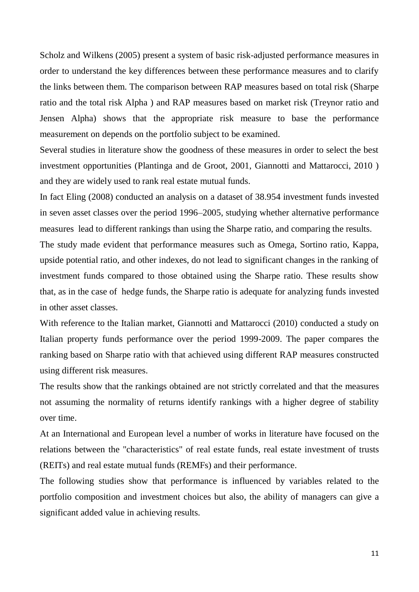Scholz and Wilkens (2005) present a system of basic risk-adjusted performance measures in order to understand the key differences between these performance measures and to clarify the links between them. The comparison between RAP measures based on total risk (Sharpe ratio and the total risk Alpha ) and RAP measures based on market risk (Treynor ratio and Jensen Alpha) shows that the appropriate risk measure to base the performance measurement on depends on the portfolio subject to be examined.

Several studies in literature show the goodness of these measures in order to select the best investment opportunities (Plantinga and de Groot, 2001, Giannotti and Mattarocci, 2010 ) and they are widely used to rank real estate mutual funds.

In fact Eling (2008) conducted an analysis on a dataset of 38.954 investment funds invested in seven asset classes over the period 1996–2005, studying whether alternative performance measures lead to different rankings than using the Sharpe ratio, and comparing the results.

The study made evident that performance measures such as Omega, Sortino ratio, Kappa, upside potential ratio, and other indexes, do not lead to significant changes in the ranking of investment funds compared to those obtained using the Sharpe ratio. These results show that, as in the case of hedge funds, the Sharpe ratio is adequate for analyzing funds invested in other asset classes.

With reference to the Italian market, Giannotti and Mattarocci (2010) conducted a study on Italian property funds performance over the period 1999-2009. The paper compares the ranking based on Sharpe ratio with that achieved using different RAP measures constructed using different risk measures.

The results show that the rankings obtained are not strictly correlated and that the measures not assuming the normality of returns identify rankings with a higher degree of stability over time.

At an International and European level a number of works in literature have focused on the relations between the "characteristics" of real estate funds, real estate investment of trusts (REITs) and real estate mutual funds (REMFs) and their performance.

The following studies show that performance is influenced by variables related to the portfolio composition and investment choices but also, the ability of managers can give a significant added value in achieving results.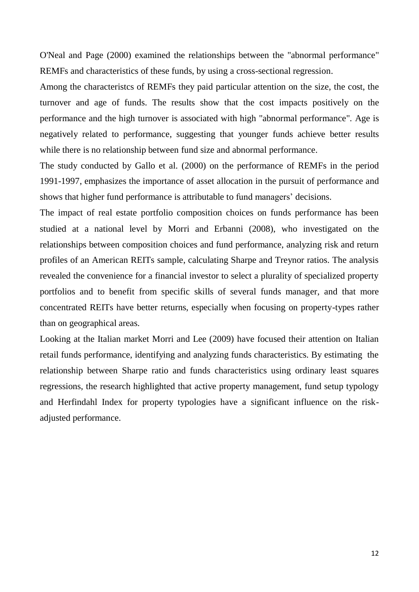O'Neal and Page (2000) examined the relationships between the "abnormal performance" REMFs and characteristics of these funds, by using a cross-sectional regression.

Among the characteristcs of REMFs they paid particular attention on the size, the cost, the turnover and age of funds. The results show that the cost impacts positively on the performance and the high turnover is associated with high "abnormal performance". Age is negatively related to performance, suggesting that younger funds achieve better results while there is no relationship between fund size and abnormal performance.

The study conducted by Gallo et al. (2000) on the performance of REMFs in the period 1991-1997, emphasizes the importance of asset allocation in the pursuit of performance and shows that higher fund performance is attributable to fund managers' decisions.

The impact of real estate portfolio composition choices on funds performance has been studied at a national level by Morri and Erbanni (2008), who investigated on the relationships between composition choices and fund performance, analyzing risk and return profiles of an American REITs sample, calculating Sharpe and Treynor ratios. The analysis revealed the convenience for a financial investor to select a plurality of specialized property portfolios and to benefit from specific skills of several funds manager, and that more concentrated REITs have better returns, especially when focusing on property-types rather than on geographical areas.

Looking at the Italian market Morri and Lee (2009) have focused their attention on Italian retail funds performance, identifying and analyzing funds characteristics. By estimating the relationship between Sharpe ratio and funds characteristics using ordinary least squares regressions, the research highlighted that active property management, fund setup typology and Herfindahl Index for property typologies have a significant influence on the riskadjusted performance.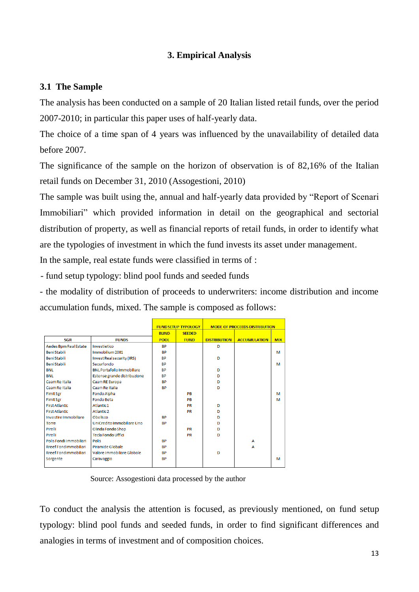## **3. Empirical Analysis**

### **3.1 The Sample**

The analysis has been conducted on a sample of 20 Italian listed retail funds, over the period 2007-2010; in particular this paper uses of half-yearly data.

The choice of a time span of 4 years was influenced by the unavailability of detailed data before 2007.

The significance of the sample on the horizon of observation is of 82,16% of the Italian retail funds on December 31, 2010 (Assogestioni, 2010)

The sample was built using the, annual and half-yearly data provided by "Report of Scenari Immobiliari" which provided information in detail on the geographical and sectorial distribution of property, as well as financial reports of retail funds, in order to identify what are the typologies of investment in which the fund invests its asset under management.

In the sample, real estate funds were classified in terms of :

- fund setup typology: blind pool funds and seeded funds

- the modality of distribution of proceeds to underwriters: income distribution and income accumulation funds, mixed. The sample is composed as follows:

|                         |                                   |              | <b>FUND SETUP TYPOLOGY</b> |                     | <b>MODE OF PROCEEDS DISTRIBUTION</b> |            |
|-------------------------|-----------------------------------|--------------|----------------------------|---------------------|--------------------------------------|------------|
|                         |                                   | <b>BLIND</b> | <b>SEEDED</b>              |                     |                                      |            |
| <b>SGR</b>              | <b>FUNDS</b>                      | <b>POOL</b>  | <b>FUND</b>                | <b>DISTRIBUTION</b> | <b>ACCUMULATION</b>                  | <b>MIX</b> |
| Aedes Bpm Real Estate   | Investietico                      | <b>RP</b>    |                            | D                   |                                      |            |
| <b>BeniStabili</b>      | Immobilium 2001                   | <b>BP</b>    |                            |                     |                                      | м          |
| <b>BeniStabili</b>      | Invest Real security (IRS)        | <b>BP</b>    |                            | D                   |                                      |            |
| <b>BeniStabili</b>      | Securfondo                        | <b>RP</b>    |                            |                     |                                      | м          |
| <b>BNL</b>              | <b>BNL Portafolio Immobiliare</b> | <b>BP</b>    |                            | D                   |                                      |            |
| <b>BNL</b>              | Estense grande distribuzione      | <b>BP</b>    |                            | D                   |                                      |            |
| Caam Re Italia          | Caam RE Europa                    | <b>RP</b>    |                            | D                   |                                      |            |
| Caam Re Italia          | Caam Re Italia                    | <b>BP</b>    |                            | D                   |                                      |            |
| <b>Fimit Sgr</b>        | Fondo Alpha                       |              | PB                         |                     |                                      | м          |
| <b>Fimit Sgr</b>        | <b>Eondo Beta</b>                 |              | PB                         |                     |                                      | м          |
| <b>First Atlantic</b>   | Atlantic1                         |              | <b>PR</b>                  | D                   |                                      |            |
| <b>First Atlantic</b>   | Atlantic <sub>2</sub>             |              | <b>PR</b>                  | D                   |                                      |            |
| Investire Immobiliare   | Obelisco                          | <b>RP</b>    |                            | D                   |                                      |            |
| Torre                   | UniCredito Immobiliare Uno        | <b>RP</b>    |                            | D                   |                                      |            |
| <b>Pirelli</b>          | Olinda Fondo Shop                 |              | <b>PR</b>                  | D                   |                                      |            |
| Pirelli                 | <b>Tecla Fondo Uffici</b>         |              | <b>PR</b>                  | D                   |                                      |            |
| Polis Fondi Immobiliari | Polis                             | <b>RP</b>    |                            |                     | А                                    |            |
| Rreef Fondimmobiliari   | Piramide Globale                  | <b>RP</b>    |                            |                     | A                                    |            |
| Rreef Fondimmobiliari   | Valore Immobiliare Globale        | <b>RP</b>    |                            | D                   |                                      |            |
| Sorgente                | Caravaggio                        | <b>BP</b>    |                            |                     |                                      | м          |
|                         |                                   |              |                            |                     |                                      |            |

Source: Assogestioni data processed by the author

To conduct the analysis the attention is focused, as previously mentioned, on fund setup typology: blind pool funds and seeded funds, in order to find significant differences and analogies in terms of investment and of composition choices.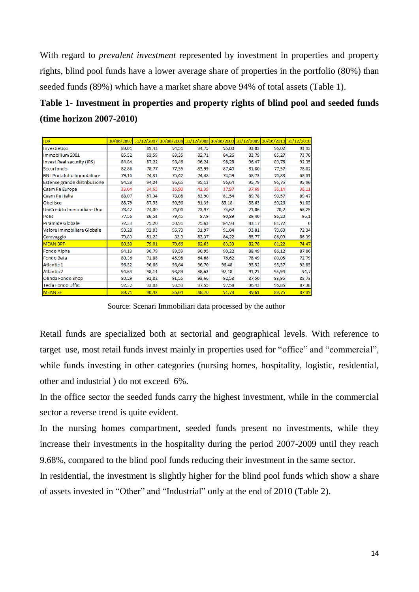With regard to *prevalent investment* represented by investment in properties and property rights, blind pool funds have a lower average share of properties in the portfolio (80%) than seeded funds (89%) which have a market share above 94% of total assets (Table 1).

## **Table 1- Investment in properties and property rights of blind pool and seeded funds (time horizon 2007-2010)**

| <b>IDR</b>                        |       |       |       | 30/06/2007 31/12/2007 30/06/2008 31/12/2008 30/06/2009 31/12/2009 30/06/2010 31/12/2010 |       |       |       |              |
|-----------------------------------|-------|-------|-------|-----------------------------------------------------------------------------------------|-------|-------|-------|--------------|
| Investietico                      | 89,01 | 89,43 | 94,51 | 94,75                                                                                   | 95,00 | 93,03 | 96,02 | 93,93        |
| Immobilium 2001                   | 85,52 | 63,59 | 83,35 | 82,71                                                                                   | 84,26 | 83,79 | 85,27 | 73,76        |
| <b>Invest Real security (IRS)</b> | 84,84 | 87,22 | 98,46 | 96,24                                                                                   | 98,28 | 96,47 | 89,76 | 92,35        |
| Securfondo                        | 82,86 | 78,77 | 77,55 | 83,99                                                                                   | 87,40 | 81,80 | 77,57 | 78,02        |
| <b>BNL Portafolio Immobiliare</b> | 79,16 | 74,31 | 75,42 | 74,48                                                                                   | 74,59 | 68,73 | 70,88 | 68,81        |
| Estense grande distribuzione      | 94,28 | 94,24 | 96,65 | 95,13                                                                                   | 96,64 | 95,79 | 96,75 | 95,96        |
| Caam Re Europa                    | 33,04 | 34,65 | 36,90 | 41,35                                                                                   | 37,97 | 37,69 | 36,14 | 36,11        |
| Caam Re Italia                    | 88,07 | 87,34 | 78,08 | 83,90                                                                                   | 81,54 | 89,78 | 90,57 | 89,47        |
| Obelisco                          | 88,79 | 87,53 | 90,96 | 91,39                                                                                   | 85,18 | 88,63 | 90,26 | 91,05        |
| UniCredito Immobiliare Uno        | 78,42 | 74,00 | 74,00 | 73,97                                                                                   | 74,62 | 71,06 | 70,2  | 68,25        |
| <b>Polis</b>                      | 77,56 | 86,54 | 79,45 | 87,9                                                                                    | 90,89 | 89,40 | 86,20 | 96,1         |
| Piramide Globale                  | 72,33 | 75,20 | 50,91 | 75,63                                                                                   | 84,93 | 83,17 | 81,72 | $\mathbf{0}$ |
| Valore Immobiliare Globale        | 93,28 | 92,03 | 96,73 | 91,97                                                                                   | 91,04 | 93,81 | 79,60 | 72,34        |
| Caravaggio                        | 79,83 | 81,22 | 82,3  | 83,37                                                                                   | 84,22 | 85,77 | 86,09 | 86,39        |
| <b>MEAN BPF</b>                   | 80,50 | 79,01 | 79,66 | 82,63                                                                                   | 83,33 | 82,78 | 81,22 | 74,47        |
| Fondo Alpha                       | 94,13 | 90,79 | 89,59 | 90,95                                                                                   | 90,22 | 88,49 | 86,12 | 87,86        |
| <b>Fondo Beta</b>                 | 80,36 | 71,88 | 45,98 | 64,68                                                                                   | 76,62 | 78,49 | 80,05 | 72,79        |
| Atlantic 1                        | 96,52 | 96,86 | 96,64 | 96,70                                                                                   | 96,48 | 95,52 | 95,57 | 92,85        |
| <b>Atlantic 2</b>                 | 94,63 | 98,14 | 98,89 | 88,63                                                                                   | 97,18 | 91,21 | 95,94 | 94,7         |
| Olinda Fondo Shop                 | 80,29 | 91,82 | 91,55 | 93,66                                                                                   | 92,58 | 87,50 | 83,95 | 88,73        |
| Tecla Fondo Uffici                | 92,32 | 93,03 | 93,59 | 97,55                                                                                   | 97,58 | 96,43 | 96,85 | 87,38        |
| <b>MEAN SF</b>                    | 89,71 | 90,42 | 86,04 | 88,70                                                                                   | 91,78 | 89,61 | 89,75 | 87,39        |

Source: Scenari Immobiliari data processed by the author

Retail funds are specialized both at sectorial and geographical levels. With reference to target use, most retail funds invest mainly in properties used for "office" and "commercial", while funds investing in other categories (nursing homes, hospitality, logistic, residential, other and industrial ) do not exceed 6%.

In the office sector the seeded funds carry the highest investment, while in the commercial sector a reverse trend is quite evident.

In the nursing homes compartment, seeded funds present no investments, while they increase their investments in the hospitality during the period 2007-2009 until they reach 9.68%, compared to the blind pool funds reducing their investment in the same sector.

In residential, the investment is slightly higher for the blind pool funds which show a share of assets invested in "Other" and "Industrial" only at the end of 2010 (Table 2).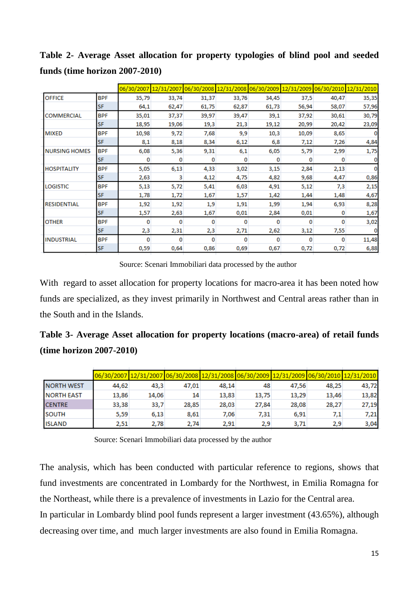|                      |            | 06/30/2007 | 12/31/2007 |       |       | 06/30/2008 12/31/2008 06/30/2009 | 12/31/2009 | 06/30/2010 12/31/2010 |       |
|----------------------|------------|------------|------------|-------|-------|----------------------------------|------------|-----------------------|-------|
| <b>OFFICE</b>        | BPF        | 35,79      | 33,74      | 31,37 | 33,76 | 34,45                            | 37,5       | 40,47                 | 35,35 |
|                      | <b>SF</b>  | 64,1       | 62,47      | 61,75 | 62,87 | 61,73                            | 56,94      | 58,07                 | 57,96 |
| <b>COMMERCIAL</b>    | <b>BPF</b> | 35,01      | 37,37      | 39,97 | 39,47 | 39,1                             | 37,92      | 30,61                 | 30,79 |
|                      | <b>SF</b>  | 18,95      | 19,06      | 19,3  | 21,3  | 19,12                            | 20,99      | 20,42                 | 23,09 |
| <b>MIXED</b>         | <b>BPF</b> | 10,98      | 9,72       | 7,68  | 9,9   | 10,3                             | 10,09      | 8,65                  | 0     |
|                      | <b>SF</b>  | 8,1        | 8,18       | 8,34  | 6,12  | 6,8                              | 7,12       | 7,26                  | 4,84  |
| <b>NURSING HOMES</b> | <b>BPF</b> | 6,08       | 5,36       | 9,31  | 6,1   | 6,05                             | 5,79       | 2,99                  | 1,75  |
|                      | <b>SF</b>  | 0          | 0          | 0     | 0     | 0                                | 0          | $\Omega$              |       |
| <b>HOSPITALITY</b>   | <b>BPF</b> | 5,05       | 6,13       | 4,33  | 3,02  | 3,15                             | 2,84       | 2,13                  | o     |
|                      | <b>SF</b>  | 2,63       | 3          | 4,12  | 4,75  | 4,82                             | 9,68       | 4,47                  | 0,86  |
| <b>LOGISTIC</b>      | <b>BPF</b> | 5,13       | 5,72       | 5,41  | 6,03  | 4,91                             | 5,12       | 7,3                   | 2,15  |
|                      | <b>SF</b>  | 1,78       | 1,72       | 1,67  | 1,57  | 1,42                             | 1,44       | 1,48                  | 4,67  |
| <b>RESIDENTIAL</b>   | <b>BPF</b> | 1,92       | 1,92       | 1,9   | 1,91  | 1,99                             | 1,94       | 6,93                  | 8,28  |
|                      | <b>SF</b>  | 1,57       | 2,63       | 1,67  | 0,01  | 2,84                             | 0,01       | o                     | 1,67  |
| <b>OTHER</b>         | <b>BPF</b> | o          | 0          | 0     | 0     | 0                                | o          | O                     | 3,02  |
|                      | <b>SF</b>  | 2,3        | 2,31       | 2,3   | 2,71  | 2,62                             | 3,12       | 7,55                  |       |
| <b>INDUSTRIAL</b>    | BPF        | o          | o          | 0     | 0     | 0                                | o          | 0                     | 11,48 |
|                      | <b>SF</b>  | 0,59       | 0,64       | 0,86  | 0,69  | 0,67                             | 0,72       | 0,72                  | 6,88  |

**Table 2- Average Asset allocation for property typologies of blind pool and seeded funds (time horizon 2007-2010)**

Source: Scenari Immobiliari data processed by the author

With regard to asset allocation for property locations for macro-area it has been noted how funds are specialized, as they invest primarily in Northwest and Central areas rather than in the South and in the Islands.

**Table 3- Average Asset allocation for property locations (macro-area) of retail funds (time horizon 2007-2010)**

|                   |       | 06/30/2007 12/31/2007 06/30/2008 12/31/2008 06/30/2009 12/31/2009 06/30/2010 12/31/2010 |       |       |       |       |       |       |
|-------------------|-------|-----------------------------------------------------------------------------------------|-------|-------|-------|-------|-------|-------|
| <b>NORTH WEST</b> | 44,62 | 43,3                                                                                    | 47,01 | 48,14 | 48    | 47,56 | 48,25 | 43,72 |
| <b>NORTH EAST</b> | 13,86 | 14,06                                                                                   | 14    | 13,83 | 13,75 | 13,29 | 13,46 | 13,82 |
| <b>CENTRE</b>     | 33,38 | 33,7                                                                                    | 28,85 | 28,03 | 27,84 | 28,08 | 28,27 | 27,19 |
| <b>SOUTH</b>      | 5,59  | 6.13                                                                                    | 8.61  | 7.06  | 7,31  | 6,91  | 7,1   | 7,21  |
| <b>ISLAND</b>     | 2,51  | 2,78                                                                                    | 2.74  | 2.91  | 2,9   | 3.71  | 2,9   | 3,04  |

Source: Scenari Immobiliari data processed by the author

The analysis, which has been conducted with particular reference to regions, shows that fund investments are concentrated in Lombardy for the Northwest, in Emilia Romagna for the Northeast, while there is a prevalence of investments in Lazio for the Central area. In particular in Lombardy blind pool funds represent a larger investment (43.65%), although decreasing over time, and much larger investments are also found in Emilia Romagna.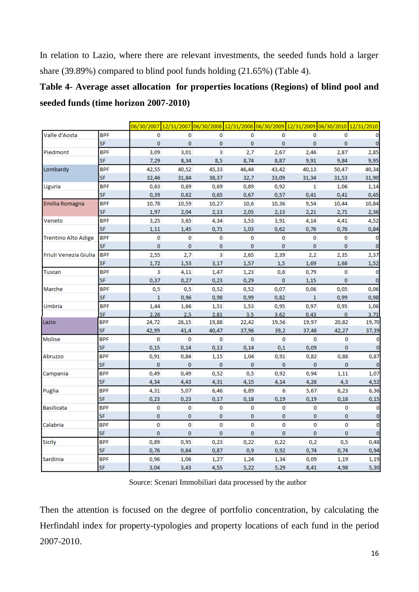In relation to Lazio, where there are relevant investments, the seeded funds hold a larger share (39.89%) compared to blind pool funds holding (21.65%) (Table 4).

# **Table 4- Average asset allocation for properties locations (Regions) of blind pool and seeded funds (time horizon 2007-2010)**

|                            |            | 06/30/2007   | 12/31/2007 06/30/2008 |          |          |          |              | 12/31/2008 06/30/2009 12/31/2009 06/30/2010 12/31/2010 |                    |
|----------------------------|------------|--------------|-----------------------|----------|----------|----------|--------------|--------------------------------------------------------|--------------------|
| Valle d'Aosta              | <b>BPF</b> | 0            | 0                     | 0        | 0        | 0        | 0            | 0                                                      | 0                  |
|                            | SF         | $\bf{0}$     | 0                     | 0        | $\bf{0}$ | 0        | 0            | 0                                                      | $\mathbf 0$        |
| Piedmont                   | <b>BPF</b> | 3,09         | 3,01                  | 3        | 2,7      | 2,67     | 2,46         | 2,87                                                   | 2,85               |
|                            | SF         | 7,29         | 8,34                  | 8,5      | 8,74     | 8,87     | 9,91         | 9,84                                                   | 9,95               |
| Lombardy                   | <b>BPF</b> | 42,55        | 40,52                 | 45,33    | 46,44    | 43,42    | 40,13        | 50,47                                                  | 40,34              |
|                            | <b>SF</b>  | 32,46        | 31,84                 | 38,37    | 32,7     | 33,09    | 31,34        | 31,53                                                  | 31,90              |
| Liguria                    | <b>BPF</b> | 0,63         | 0,69                  | 0,69     | 0,89     | 0,92     | $\mathbf{1}$ | 1,06                                                   | 1,14               |
|                            | SF         | 0,39         | 0,62                  | 0,65     | 0,67     | 0,57     | 0,41         | 0,41                                                   | 0,45               |
| Emilia Romagna             | <b>BPF</b> | 10,78        | 10,59                 | 10,27    | 10,6     | 10,36    | 9,54         | 10,44                                                  | 10,84              |
|                            | <b>SF</b>  | 1,97         | 2,04                  | 2,13     | 2,05     | 2,13     | 2,21         | 2,71                                                   | 2,36               |
| Veneto                     | <b>BPF</b> | 3,25         | 3,65                  | 4,34     | 3,53     | 3,91     | 4,14         | 4,41                                                   | 4,52               |
|                            | <b>SF</b>  | 1,11         | 1,45                  | 0,71     | 1,03     | 0,62     | 0,76         | 0,76                                                   | 0,84               |
| <b>Trentino Alto Adige</b> | <b>BPF</b> | 0            | 0                     | 0        | 0        | 0        | 0            | 0                                                      | 0                  |
|                            | SF         | $\bf{0}$     | $\bf{0}$              | 0        | $\bf{0}$ | $\bf{0}$ | 0            | 0                                                      | $\mathbf 0$        |
| Friuli Venezia Giulia      | <b>BPF</b> | 2,55         | 2,7                   | 3        | 2,65     | 2,39     | 2,2          | 2,35                                                   | 2,37               |
|                            | <b>SF</b>  | 1,72         | 1,53                  | 3,17     | 1,57     | 1,5      | 1,69         | 1,68                                                   | 1,52               |
| Tuscan                     | <b>BPF</b> | 3            | 4,11                  | 1,47     | 1,23     | 0,8      | 0,79         | 0                                                      | 0                  |
|                            | SF         | 0,37         | 0,27                  | 0,23     | 0,29     | $\bf{0}$ | 1,15         | 0                                                      | $\mathbf 0$        |
| Marche                     | <b>BPF</b> | 0,5          | 0,5                   | 0,52     | 0,52     | 0,07     | 0,06         | 0,05                                                   | 0,06               |
|                            | SF         | $\mathbf{1}$ | 0,96                  | 0,98     | 0,99     | 0,82     | 1            | 0,99                                                   | 0,98               |
| Umbria                     | <b>BPF</b> | 1,44         | 1,66                  | 1,51     | 1,53     | 0,95     | 0,97         | 0,95                                                   | 1,06               |
|                            | <b>SF</b>  | 2,26         | 2.5                   | 2,81     | 3,5      | 3,62     | 0,43         | $\bf{0}$                                               | 3,71               |
| Lazio                      | <b>BPF</b> | 24,72        | 26,15                 | 19,88    | 22,42    | 19,56    | 19,97        | 20,82                                                  | 19,70              |
|                            | SF         | 42,99        | 41,4                  | 40,47    | 37,96    | 39,2     | 37,46        | 42,27                                                  | 37,39              |
| Molise                     | <b>BPF</b> | $\mathbf{0}$ | $\bf{0}$              | $\bf{0}$ | 0        | 0        | $\bf{0}$     | 0                                                      | 0                  |
|                            | SF         | 0,15         | 0,14                  | 0,13     | 0,14     | 0,1      | 0,09         | 0                                                      | $\bf{0}$           |
| Abruzzo                    | <b>BPF</b> | 0,91         | 0,84                  | 1,15     | 1,04     | 0,91     | 0,82         | 0,88                                                   | 0,87               |
|                            | <b>SF</b>  | $\mathbf 0$  | $\bf{0}$              | $\bf{0}$ | $\bf{0}$ | 0        | $\bf{0}$     | $\bf{0}$                                               | $\bf{0}$           |
| Campania                   | <b>BPF</b> | 0,49         | 0,49                  | 0,52     | 0,5      | 0,92     | 0,94         | 1,11                                                   | 1,07               |
|                            | SF         | 4,34         | 4,43                  | 4,31     | 4,15     | 4,14     | 4,26         | 4,3                                                    | 4,52               |
| Puglia                     | <b>BPF</b> | 4,31         | 5,07                  | 6,46     | 6,89     | 6        | 5,67         | 6,23                                                   | 6,36               |
|                            | SF         | 0,23         | 0,23                  | 0,17     | 0,18     | 0,19     | 0,19         | 0,18                                                   | 0,15               |
| <b>Basilicata</b>          | <b>BPF</b> | 0            | 0                     | 0        | 0        | 0        | 0            | 0                                                      | $\bf{0}$           |
|                            | SF         | $\bf{0}$     | 0                     | 0        | 0        | 0        | $\bf{0}$     | 0                                                      | $\pmb{\mathsf{O}}$ |
| Calabria                   | <b>BPF</b> | 0            | 0                     | 0        | 0        | 0        | 0            | 0                                                      | $\bf{0}$           |
|                            | SF         | $\bf{0}$     | $\bf{0}$              | 0        | 0        | $\bf{0}$ | $\bf{0}$     | 0                                                      | $\bf{0}$           |
| <b>Sicily</b>              | <b>BPF</b> | 0,89         | 0,95                  | 0,23     | 0,22     | 0,22     | 0,2          | 0,5                                                    | 0,48               |
|                            | SF         | 0,76         | 0,84                  | 0,87     | 0,9      | 0,92     | 0,74         | 0,74                                                   | 0,94               |
| Sardinia                   | <b>BPF</b> | 0,96         | 1,06                  | 1,27     | 1,24     | 1,34     | 0,09         | 1,19                                                   | 1,19               |
|                            | SF         | 3,04         | 3,43                  | 4,55     | 5,22     | 5,29     | 8,41         | 4,98                                                   | 5,30               |

Source: Scenari Immobiliari data processed by the author

Then the attention is focused on the degree of portfolio concentration, by calculating the Herfindahl index for property-typologies and property locations of each fund in the period 2007-2010.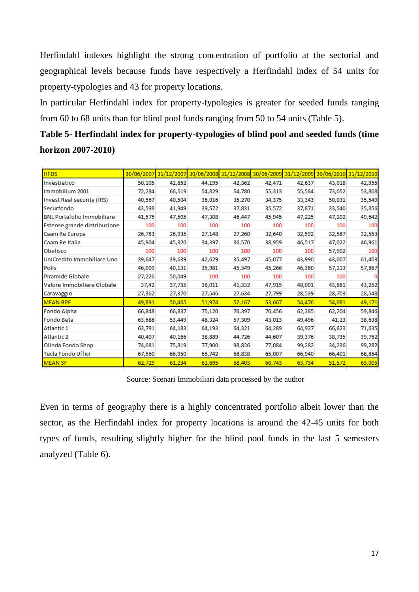Herfindahl indexes highlight the strong concentration of portfolio at the sectorial and geographical levels because funds have respectively a Herfindahl index of 54 units for property-typologies and 43 for property locations.

In particular Herfindahl index for property-typologies is greater for seeded funds ranging from 60 to 68 units than for blind pool funds ranging from 50 to 54 units (Table 5).

**Table 5- Herfindahl index for property-typologies of blind pool and seeded funds (time horizon 2007-2010)**

| <b>HFDS</b>                       | 30/06/2007 |        | 31/12/2007 30/06/2008 |        |        | 31/12/2008 30/06/2009 31/12/2009 30/06/2010 31/12/2010 |        |        |
|-----------------------------------|------------|--------|-----------------------|--------|--------|--------------------------------------------------------|--------|--------|
| Investietico                      | 50,105     | 42,852 | 44,195                | 42,362 | 42,471 | 42,637                                                 | 43,018 | 42,955 |
| Immobilium 2001                   | 72,284     | 66,519 | 54,829                | 54,780 | 55,313 | 55,584                                                 | 73,052 | 53,808 |
| Invest Real security (IRS)        | 40,567     | 40,504 | 36,016                | 35,270 | 34,375 | 33,343                                                 | 50,031 | 35,549 |
| Securfondo                        | 43,598     | 41,949 | 39,572                | 37,831 | 35,572 | 37,871                                                 | 33,540 | 35,856 |
| <b>BNL Portafolio Immobiliare</b> | 41,575     | 47,505 | 47,308                | 46,447 | 45,945 | 47,225                                                 | 47,202 | 49,642 |
| Estense grande distribuzione      | 100        | 100    | 100                   | 100    | 100    | 100                                                    | 100    | 100    |
| Caam Re Europa                    | 26,783     | 26,935 | 27,148                | 27,260 | 32,640 | 32,592                                                 | 32,587 | 32,553 |
| Caam Re Italia                    | 45,904     | 45,320 | 34,397                | 36,570 | 38,959 | 46,517                                                 | 47,022 | 46,961 |
| Obelisco                          | 100        | 100    | 100                   | 100    | 100    | 100                                                    | 57,902 | 100    |
| UniCredito Immobiliare Uno        | 39,647     | 39,639 | 42,629                | 35,497 | 45,077 | 43,990                                                 | 43,007 | 61,403 |
| <b>Polis</b>                      | 46,009     | 40,131 | 35,981                | 45,349 | 45,266 | 46,360                                                 | 57,213 | 57,867 |
| Piramide Globale                  | 27,226     | 50,049 | 100                   | 100    | 100    | 100                                                    | 100    |        |
| Valore Immobiliare Globale        | 37,42      | 37,735 | 38,011                | 41,332 | 47,915 | 48,001                                                 | 43,861 | 43,252 |
| Caravaggio                        | 27,362     | 27,370 | 27,546                | 27,634 | 27,799 | 28,539                                                 | 28,703 | 28,548 |
| <b>MEAN BPF</b>                   | 49,891     | 50,465 | 51,974                | 52,167 | 53,667 | 54,476                                                 | 54,081 | 49,171 |
| Fondo Alpha                       | 66,848     | 66,837 | 75,120                | 76,397 | 70,456 | 62,385                                                 | 62,204 | 59,846 |
| Fondo Beta                        | 63,688     | 53,449 | 48,324                | 57,309 | 43,013 | 49,496                                                 | 41,23  | 38,638 |
| Atlantic 1                        | 63,791     | 64,183 | 64,193                | 64,321 | 64,289 | 64,927                                                 | 66,623 | 71,635 |
| <b>Atlantic 2</b>                 | 40,407     | 40,166 | 38,889                | 44,726 | 44,607 | 39,376                                                 | 38,735 | 39,762 |
| Olinda Fondo Shop                 | 74,081     | 75,819 | 77,900                | 98,826 | 77,084 | 99,282                                                 | 34,236 | 99,282 |
| <b>Tecla Fondo Uffici</b>         | 67,560     | 66,950 | 65,742                | 68,838 | 65,007 | 66,940                                                 | 66,401 | 68,864 |
| <b>MEAN SF</b>                    | 62,729     | 61,234 | 61,695                | 68,403 | 60,743 | 63,734                                                 | 51,572 | 63,005 |

Source: Scenari Immobiliari data processed by the author

Even in terms of geography there is a highly concentrated portfolio albeit lower than the sector, as the Herfindahl index for property locations is around the 42-45 units for both types of funds, resulting slightly higher for the blind pool funds in the last 5 semesters analyzed (Table 6).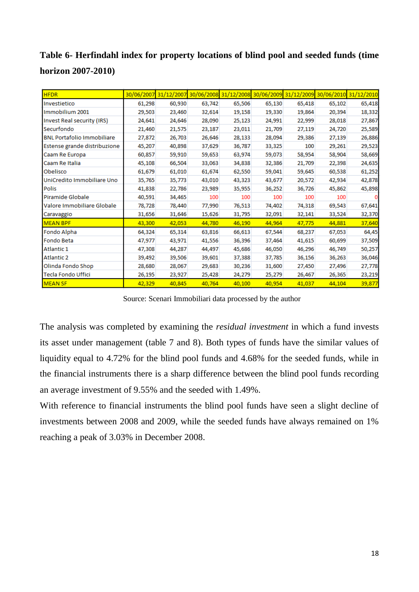**Table 6- Herfindahl index for property locations of blind pool and seeded funds (time horizon 2007-2010)**

| <b>HFDR</b>                       | 30/06/2007 | 31/12/2007 |        | 30/06/2008 31/12/2008 30/06/2009 31/12/2009 30/06/2010 31/12/2010 |        |        |        |        |
|-----------------------------------|------------|------------|--------|-------------------------------------------------------------------|--------|--------|--------|--------|
| Investietico                      | 61,298     | 60,930     | 63,742 | 65,506                                                            | 65,130 | 65,418 | 65,102 | 65,418 |
| Immobilium 2001                   | 29,503     | 23,460     | 32,614 | 19,158                                                            | 19,330 | 19,864 | 20,394 | 18,332 |
| <b>Invest Real security (IRS)</b> | 24,641     | 24,646     | 28,090 | 25,123                                                            | 24,991 | 22,999 | 28,018 | 27,867 |
| Securfondo                        | 21,460     | 21,575     | 23,187 | 23,011                                                            | 21,709 | 27,119 | 24,720 | 25,589 |
| <b>BNL Portafolio Immobiliare</b> | 27,872     | 26,703     | 26,646 | 28,133                                                            | 28,094 | 29,386 | 27,139 | 26,886 |
| Estense grande distribuzione      | 45,207     | 40,898     | 37,629 | 36,787                                                            | 33,325 | 100    | 29,261 | 29,523 |
| Caam Re Europa                    | 60,857     | 59,910     | 59,653 | 63,974                                                            | 59,073 | 58,954 | 58,904 | 58,669 |
| Caam Re Italia                    | 45,108     | 66,504     | 33,063 | 34,838                                                            | 32,386 | 21,709 | 22,398 | 24,635 |
| Obelisco                          | 61,679     | 61,010     | 61,674 | 62,550                                                            | 59,041 | 59,645 | 60,538 | 61,252 |
| UniCredito Immobiliare Uno        | 35,765     | 35,773     | 43,010 | 43,323                                                            | 43,677 | 20,572 | 42,934 | 42,878 |
| <b>Polis</b>                      | 41,838     | 22,786     | 23,989 | 35,955                                                            | 36,252 | 36,726 | 45,862 | 45,898 |
| Piramide Globale                  | 40,591     | 34,465     | 100    | 100                                                               | 100    | 100    | 100    |        |
| Valore Immobiliare Globale        | 78,728     | 78,440     | 77,990 | 76,513                                                            | 74,402 | 74,318 | 69,543 | 67,641 |
| Caravaggio                        | 31,656     | 31,646     | 15,626 | 31,795                                                            | 32,091 | 32,141 | 33,524 | 32,370 |
| <b>MEAN BPF</b>                   | 43,300     | 42,053     | 44,780 | 46,190                                                            | 44,964 | 47,775 | 44,881 | 37,640 |
| Fondo Alpha                       | 64,324     | 65,314     | 63,816 | 66,613                                                            | 67,544 | 68,237 | 67,053 | 64,45  |
| Fondo Beta                        | 47,977     | 43,971     | 41,556 | 36,396                                                            | 37,464 | 41,615 | 60,699 | 37,509 |
| Atlantic 1                        | 47,308     | 44,287     | 44,497 | 45,686                                                            | 46,050 | 46,296 | 46,749 | 50,257 |
| <b>Atlantic 2</b>                 | 39,492     | 39,506     | 39,601 | 37,388                                                            | 37,785 | 36,156 | 36,263 | 36,046 |
| Olinda Fondo Shop                 | 28,680     | 28,067     | 29,683 | 30,236                                                            | 31,600 | 27,450 | 27,496 | 27,778 |
| <b>Tecla Fondo Uffici</b>         | 26,195     | 23,927     | 25,428 | 24,279                                                            | 25,279 | 26,467 | 26,365 | 23,219 |
| <b>MEAN SF</b>                    | 42,329     | 40,845     | 40,764 | 40,100                                                            | 40,954 | 41,037 | 44,104 | 39,877 |

Source: Scenari Immobiliari data processed by the author

The analysis was completed by examining the *residual investment* in which a fund invests its asset under management (table 7 and 8). Both types of funds have the similar values of liquidity equal to 4.72% for the blind pool funds and 4.68% for the seeded funds, while in the financial instruments there is a sharp difference between the blind pool funds recording an average investment of 9.55% and the seeded with 1.49%.

With reference to financial instruments the blind pool funds have seen a slight decline of investments between 2008 and 2009, while the seeded funds have always remained on 1% reaching a peak of 3.03% in December 2008.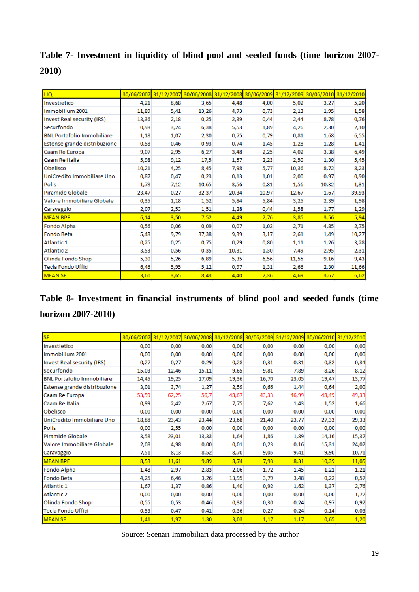**Table 7- Investment in liquidity of blind pool and seeded funds (time horizon 2007- 2010)**

| <b>LIQ</b>                        |       | 30/06/2007 31/12/2007 30/06/2008 31/12/2008 30/06/2009 31/12/2009 30/06/2010 |       |       |       |       |       | 31/12/2010 |
|-----------------------------------|-------|------------------------------------------------------------------------------|-------|-------|-------|-------|-------|------------|
| Investietico                      | 4,21  | 8,68                                                                         | 3,65  | 4,48  | 4,00  | 5,02  | 3,27  | 5,20       |
| Immobilium 2001                   | 11,89 | 5,41                                                                         | 13,26 | 4,73  | 0,73  | 2,13  | 1,95  | 1,58       |
| Invest Real security (IRS)        | 13,36 | 2,18                                                                         | 0,25  | 2,39  | 0,44  | 2,44  | 8,78  | 0,76       |
| Securfondo                        | 0,98  | 3,24                                                                         | 6,38  | 5,53  | 1,89  | 4,26  | 2,30  | 2,10       |
| <b>BNL Portafolio Immobiliare</b> | 1,18  | 1,07                                                                         | 2,30  | 0,75  | 0,79  | 0,81  | 1,68  | 6,55       |
| Estense grande distribuzione      | 0,58  | 0,46                                                                         | 0,93  | 0,74  | 1,45  | 1,28  | 1,28  | 1,41       |
| Caam Re Europa                    | 9,07  | 2,95                                                                         | 6,27  | 3,48  | 2,25  | 4,02  | 3,38  | 6,49       |
| Caam Re Italia                    | 5,98  | 9,12                                                                         | 17,5  | 1,57  | 2,23  | 2,50  | 1,30  | 5,45       |
| Obelisco                          | 10,21 | 4,25                                                                         | 8,45  | 7,98  | 5,77  | 10,36 | 8,72  | 8,23       |
| UniCredito Immobiliare Uno        | 0,87  | 0,47                                                                         | 0,23  | 0,13  | 1,01  | 2,00  | 0,97  | 0,90       |
| Polis                             | 1,78  | 7,12                                                                         | 10,65 | 3,56  | 0,81  | 1,56  | 10,32 | 1,31       |
| Piramide Globale                  | 23,47 | 0,27                                                                         | 32,37 | 20,34 | 10,97 | 12,67 | 1,67  | 39,93      |
| Valore Immobiliare Globale        | 0,35  | 1,18                                                                         | 1,52  | 5,84  | 5,84  | 3,25  | 2,39  | 1,98       |
| Caravaggio                        | 2,07  | 2,53                                                                         | 1,51  | 1,28  | 0,44  | 1,58  | 1,77  | 1,29       |
| <b>MEAN BPF</b>                   | 6,14  | 3,50                                                                         | 7,52  | 4,49  | 2,76  | 3,85  | 3,56  | 5,94       |
| Fondo Alpha                       | 0,56  | 0,06                                                                         | 0,09  | 0,07  | 1,02  | 2,71  | 4,85  | 2,75       |
| Fondo Beta                        | 5,48  | 9,79                                                                         | 37,38 | 9,39  | 3,17  | 2,61  | 1,49  | 10,27      |
| Atlantic 1                        | 0,25  | 0,25                                                                         | 0,75  | 0,29  | 0,80  | 1,11  | 1,26  | 3,28       |
| <b>Atlantic 2</b>                 | 3,53  | 0,56                                                                         | 0,35  | 10,31 | 1,30  | 7,49  | 2,95  | 2,31       |
| Olinda Fondo Shop                 | 5,30  | 5,26                                                                         | 6,89  | 5,35  | 6,56  | 11,55 | 9,16  | 9,43       |
| Tecla Fondo Uffici                | 6,46  | 5,95                                                                         | 5,12  | 0,97  | 1,31  | 2,66  | 2,30  | 11,66      |
| <b>MEAN SF</b>                    | 3,60  | 3,65                                                                         | 8,43  | 4,40  | 2,36  | 4,69  | 3,67  | 6,62       |

**Table 8- Investment in financial instruments of blind pool and seeded funds (time horizon 2007-2010)**

| <b>SF</b>                         | 30/06/2007 |       |       | 31/12/2007 30/06/2008 31/12/2008 30/06/2009 |       |       | 31/12/2009 30/06/2010 31/12/2010 |       |
|-----------------------------------|------------|-------|-------|---------------------------------------------|-------|-------|----------------------------------|-------|
| Investietico                      | 0,00       | 0,00  | 0,00  | 0,00                                        | 0,00  | 0,00  | 0,00                             | 0,00  |
| Immobilium 2001                   | 0.00       | 0,00  | 0,00  | 0,00                                        | 0.00  | 0,00  | 0,00                             | 0,00  |
| Invest Real security (IRS)        | 0,27       | 0,27  | 0,29  | 0,28                                        | 0,31  | 0,31  | 0,32                             | 0,34  |
| Securfondo                        | 15,03      | 12,46 | 15,11 | 9,65                                        | 9,81  | 7,89  | 8,26                             | 8,12  |
| <b>BNL Portafolio Immobiliare</b> | 14,45      | 19,25 | 17,09 | 19,36                                       | 16,70 | 23,05 | 19,47                            | 13,77 |
| Estense grande distribuzione      | 3,01       | 3,74  | 1,27  | 2,59                                        | 0,66  | 1,44  | 0,64                             | 2,00  |
| Caam Re Europa                    | 53,59      | 62,25 | 56,7  | 48,67                                       | 43,33 | 46,99 | 48,49                            | 49,33 |
| Caam Re Italia                    | 0,99       | 2,42  | 2,67  | 7,75                                        | 7,62  | 1,43  | 1,52                             | 1,66  |
| Obelisco                          | 0,00       | 0,00  | 0,00  | 0,00                                        | 0,00  | 0,00  | 0,00                             | 0,00  |
| UniCredito Immobiliare Uno        | 18,88      | 23,43 | 23,44 | 23,68                                       | 21,40 | 23,77 | 27,33                            | 29,33 |
| <b>Polis</b>                      | 0,00       | 2,55  | 0,00  | 0,00                                        | 0,00  | 0,00  | 0,00                             | 0,00  |
| Piramide Globale                  | 3,58       | 23,01 | 13,33 | 1,64                                        | 1,86  | 1,89  | 14,16                            | 15,37 |
| Valore Immobiliare Globale        | 2,08       | 4,98  | 0,00  | 0,01                                        | 0,23  | 0,16  | 15,31                            | 24,02 |
| Caravaggio                        | 7,51       | 8,13  | 8,52  | 8,70                                        | 9,05  | 9,41  | 9,90                             | 10,71 |
| <b>MEAN BPF</b>                   | 8,53       | 11,61 | 9,89  | 8,74                                        | 7,93  | 8,31  | 10,39                            | 11,05 |
| Fondo Alpha                       | 1,48       | 2,97  | 2,83  | 2,06                                        | 1,72  | 1,45  | 1,21                             | 1,21  |
| <b>Fondo Beta</b>                 | 4,25       | 6,46  | 3,26  | 13,95                                       | 3,79  | 3,48  | 0,22                             | 0,57  |
| <b>Atlantic 1</b>                 | 1,67       | 1,37  | 0,86  | 1,40                                        | 0,92  | 1,62  | 1,37                             | 2,76  |
| <b>Atlantic 2</b>                 | 0,00       | 0,00  | 0,00  | 0,00                                        | 0,00  | 0,00  | 0,00                             | 1,72  |
| Olinda Fondo Shop                 | 0,55       | 0,53  | 0,46  | 0,38                                        | 0,30  | 0,24  | 0,97                             | 0,92  |
| <b>Tecla Fondo Uffici</b>         | 0,53       | 0,47  | 0,41  | 0,36                                        | 0,27  | 0,24  | 0,14                             | 0,03  |
| <b>MEAN SF</b>                    | 1,41       | 1,97  | 1,30  | 3,03                                        | 1,17  | 1,17  | 0,65                             | 1,20  |

Source: Scenari Immobiliari data processed by the author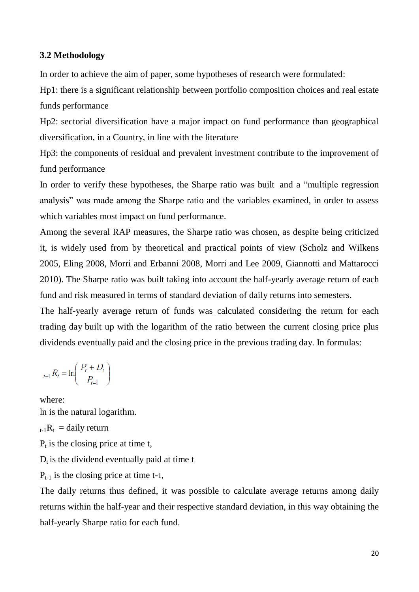### **3.2 Methodology**

In order to achieve the aim of paper, some hypotheses of research were formulated:

Hp1: there is a significant relationship between portfolio composition choices and real estate funds performance

Hp2: sectorial diversification have a major impact on fund performance than geographical diversification, in a Country, in line with the literature

Hp3: the components of residual and prevalent investment contribute to the improvement of fund performance

In order to verify these hypotheses, the Sharpe ratio was built and a "multiple regression analysis" was made among the Sharpe ratio and the variables examined, in order to assess which variables most impact on fund performance.

Among the several RAP measures, the Sharpe ratio was chosen, as despite being criticized it, is widely used from by theoretical and practical points of view (Scholz and Wilkens 2005, Eling 2008, Morri and Erbanni 2008, Morri and Lee 2009, Giannotti and Mattarocci 2010). The Sharpe ratio was built taking into account the half-yearly average return of each fund and risk measured in terms of standard deviation of daily returns into semesters.

The half-yearly average return of funds was calculated considering the return for each trading day built up with the logarithm of the ratio between the current closing price plus dividends eventually paid and the closing price in the previous trading day. In formulas:

$$
_{t-1}R_t = \ln\left(\frac{P_t + D_t}{P_{t-1}}\right)
$$

where: ln is the natural logarithm.  $_{t-1}R_t = \text{daily return}$  $P_t$  is the closing price at time t,  $D_t$  is the dividend eventually paid at time t  $P_{t-1}$  is the closing price at time t-1,

The daily returns thus defined, it was possible to calculate average returns among daily returns within the half-year and their respective standard deviation, in this way obtaining the half-yearly Sharpe ratio for each fund.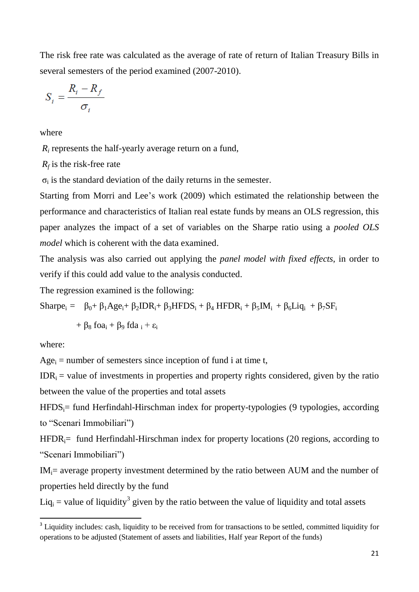The risk free rate was calculated as the average of rate of return of Italian Treasury Bills in several semesters of the period examined (2007-2010).

$$
S_i = \frac{R_i - R_f}{\sigma_i}
$$

where

*R<sup>i</sup>* represents the half-yearly average return on a fund,

*Rf* is the risk-free rate

 $\sigma_i$  is the standard deviation of the daily returns in the semester.

Starting from Morri and Lee's work (2009) which estimated the relationship between the performance and characteristics of Italian real estate funds by means an OLS regression, this paper analyzes the impact of a set of variables on the Sharpe ratio using a *pooled OLS model* which is coherent with the data examined.

The analysis was also carried out applying the *panel model with fixed effects*, in order to verify if this could add value to the analysis conducted.

The regression examined is the following:

Sharpe<sub>i</sub> =  $\beta_0 + \beta_1 Age_i + \beta_2IDR_i + \beta_3HFDS_i + \beta_4 HFDR_i + \beta_5 IM_i + \beta_6Liq_i + \beta_7 SF_i$ 

 $+ \beta_8$  foa<sub>i</sub> +  $\beta_9$  fda <sub>i</sub> +  $\varepsilon$ <sub>i</sub>

where:

1

 $Age_i$  = number of semesters since inception of fund i at time t,

 $IDR<sub>i</sub>$  = value of investments in properties and property rights considered, given by the ratio between the value of the properties and total assets

 $HFDS_i$ = fund Herfindahl-Hirschman index for property-typologies (9 typologies, according to "Scenari Immobiliari")

 $HFDR_i=$  fund Herfindahl-Hirschman index for property locations (20 regions, according to "Scenari Immobiliari")

 $IM_i$  = average property investment determined by the ratio between AUM and the number of properties held directly by the fund

Liq<sub>i</sub> = value of liquidity<sup>3</sup> given by the ratio between the value of liquidity and total assets

<sup>&</sup>lt;sup>3</sup> Liquidity includes: cash, liquidity to be received from for transactions to be settled, committed liquidity for operations to be adjusted (Statement of assets and liabilities, Half year Report of the funds)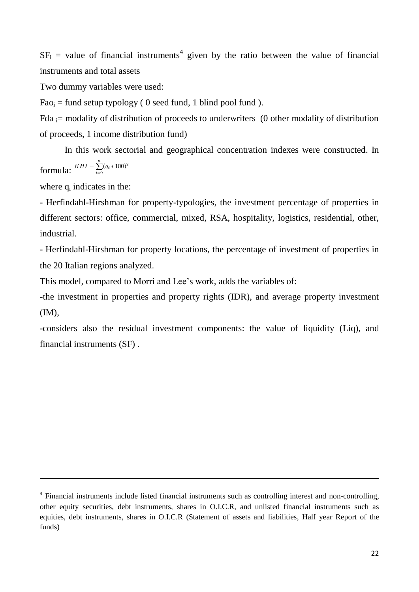$SF_i$  = value of financial instruments<sup>4</sup> given by the ratio between the value of financial instruments and total assets

Two dummy variables were used:

 $Fao_i = fund setup typology ( 0 seed fund, 1 blind pool fund ).$ 

Fda  $\alpha$  i= modality of distribution of proceeds to underwriters (0 other modality of distribution of proceeds, 1 income distribution fund)

In this work sectorial and geographical concentration indexes were constructed. In formula:  $HHI = \sum_{i=0}^{n} (q_i * 100)^2$ 

where  $q_i$  indicates in the:

1

- Herfindahl-Hirshman for property-typologies, the investment percentage of properties in different sectors: office, commercial, mixed, RSA, hospitality, logistics, residential, other, industrial.

- Herfindahl-Hirshman for property locations, the percentage of investment of properties in the 20 Italian regions analyzed.

This model, compared to Morri and Lee's work, adds the variables of:

*-*the investment in properties and property rights (IDR), and average property investment (IM),

-considers also the residual investment components: the value of liquidity (Liq), and financial instruments (SF) .

<sup>&</sup>lt;sup>4</sup> Financial instruments include listed financial instruments such as controlling interest and non-controlling, other equity securities, debt instruments, shares in O.I.C.R, and unlisted financial instruments such as equities, debt instruments, shares in O.I.C.R (Statement of assets and liabilities, Half year Report of the funds)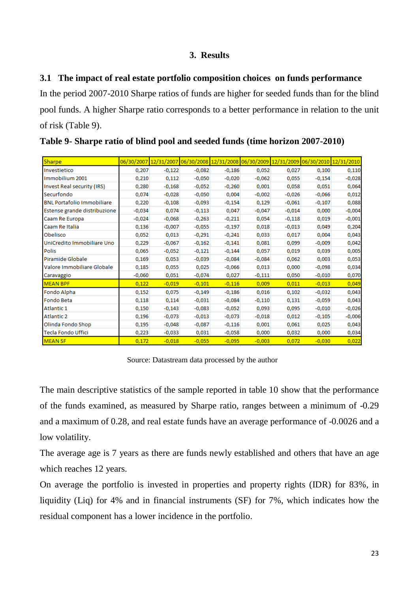## **3. Results**

## **3.1 The impact of real estate portfolio composition choices on funds performance**

In the period 2007-2010 Sharpe ratios of funds are higher for seeded funds than for the blind pool funds. A higher Sharpe ratio corresponds to a better performance in relation to the unit of risk (Table 9).

| Sharpe                            |          |          | 06/30/2007 12/31/2007 06/30/2008 12/31/2008 06/30/2009 12/31/2009 06/30/2010 12/31/2010 |          |          |          |          |          |
|-----------------------------------|----------|----------|-----------------------------------------------------------------------------------------|----------|----------|----------|----------|----------|
| Investietico                      | 0,207    | $-0,122$ | $-0,082$                                                                                | $-0,186$ | 0,052    | 0,027    | 0,100    | 0,110    |
| Immobilium 2001                   | 0,210    | 0,112    | $-0,050$                                                                                | $-0,020$ | $-0,062$ | 0,055    | $-0,154$ | $-0,028$ |
| Invest Real security (IRS)        | 0,280    | $-0,168$ | $-0,052$                                                                                | $-0,260$ | 0,001    | 0,058    | 0,051    | 0,064    |
| Securfondo                        | 0,074    | $-0,028$ | $-0,050$                                                                                | 0,004    | $-0,002$ | $-0,026$ | $-0,066$ | 0,012    |
| <b>BNL Portafolio Immobiliare</b> | 0,220    | $-0,108$ | $-0,093$                                                                                | $-0,154$ | 0,129    | $-0,061$ | $-0,107$ | 0,088    |
| Estense grande distribuzione      | $-0,034$ | 0,074    | $-0,113$                                                                                | 0,047    | $-0,047$ | $-0,014$ | 0,000    | $-0,004$ |
| Caam Re Europa                    | $-0,024$ | $-0,068$ | $-0,263$                                                                                | $-0,211$ | 0.054    | $-0,118$ | 0,019    | $-0,001$ |
| Caam Re Italia                    | 0,136    | $-0,007$ | $-0,055$                                                                                | $-0,197$ | 0,018    | $-0,013$ | 0,049    | 0,204    |
| Obelisco                          | 0,052    | 0,013    | $-0,291$                                                                                | $-0,241$ | 0,033    | 0,017    | 0,004    | 0,043    |
| UniCredito Immobiliare Uno        | 0,229    | $-0,067$ | $-0,162$                                                                                | $-0,141$ | 0,081    | 0,099    | $-0,009$ | 0,042    |
| <b>Polis</b>                      | 0,065    | $-0,052$ | $-0,121$                                                                                | $-0,144$ | 0,057    | 0,019    | 0,039    | 0,005    |
| Piramide Globale                  | 0,169    | 0,053    | $-0,039$                                                                                | $-0,084$ | $-0,084$ | 0,062    | 0,003    | 0,053    |
| Valore Immobiliare Globale        | 0,185    | 0,055    | 0,025                                                                                   | $-0,066$ | 0,013    | 0,000    | $-0,098$ | 0,034    |
| Caravaggio                        | $-0,060$ | 0,051    | $-0,074$                                                                                | 0,027    | $-0,111$ | 0,050    | $-0,010$ | 0,070    |
| <b>MEAN BPF</b>                   | 0,122    | $-0,019$ | $-0,101$                                                                                | $-0,116$ | 0,009    | 0,011    | $-0,013$ | 0,049    |
| Fondo Alpha                       | 0,152    | 0,075    | $-0,149$                                                                                | $-0,186$ | 0,016    | 0,102    | $-0,032$ | 0,043    |
| Fondo Beta                        | 0,118    | 0,114    | $-0,031$                                                                                | $-0,084$ | $-0,110$ | 0,131    | $-0,059$ | 0,043    |
| Atlantic 1                        | 0,150    | $-0,143$ | $-0.083$                                                                                | $-0.052$ | 0,093    | 0,095    | $-0,010$ | $-0,026$ |
| <b>Atlantic 2</b>                 | 0,196    | $-0,073$ | $-0,013$                                                                                | $-0,073$ | $-0,018$ | 0,012    | $-0,105$ | $-0,006$ |
| Olinda Fondo Shop                 | 0,195    | $-0,048$ | $-0,087$                                                                                | $-0,116$ | 0,001    | 0,061    | 0,025    | 0,043    |
| <b>Tecla Fondo Uffici</b>         | 0,223    | $-0,033$ | 0,031                                                                                   | $-0,058$ | 0,000    | 0,032    | 0,000    | 0,034    |
| <b>MEAN SF</b>                    | 0,172    | $-0,018$ | $-0,055$                                                                                | $-0,095$ | $-0,003$ | 0,072    | $-0,030$ | 0,022    |

**Table 9- Sharpe ratio of blind pool and seeded funds (time horizon 2007-2010)**

Source: Datastream data processed by the author

The main descriptive statistics of the sample reported in table 10 show that the performance of the funds examined, as measured by Sharpe ratio, ranges between a minimum of -0.29 and a maximum of 0.28, and real estate funds have an average performance of -0.0026 and a low volatility.

The average age is 7 years as there are funds newly established and others that have an age which reaches 12 years.

On average the portfolio is invested in properties and property rights (IDR) for 83%, in liquidity (Liq) for 4% and in financial instruments (SF) for 7%, which indicates how the residual component has a lower incidence in the portfolio.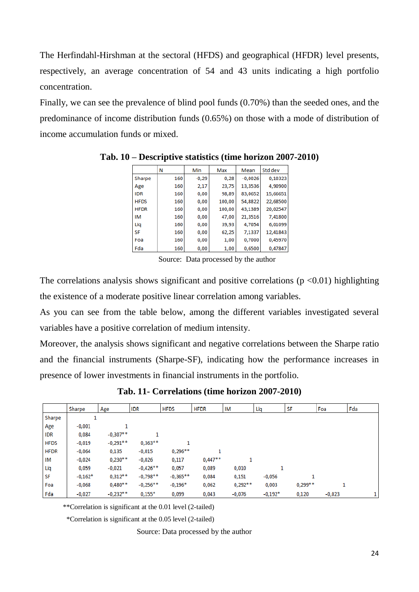The Herfindahl-Hirshman at the sectoral (HFDS) and geographical (HFDR) level presents, respectively, an average concentration of 54 and 43 units indicating a high portfolio concentration.

Finally, we can see the prevalence of blind pool funds (0.70%) than the seeded ones, and the predominance of income distribution funds (0.65%) on those with a mode of distribution of income accumulation funds or mixed.

|             | Ν   | Min     | Max    | Mean      | Std dev  |
|-------------|-----|---------|--------|-----------|----------|
| Sharpe      | 160 | $-0.29$ | 0.28   | $-0,0026$ | 0,10323  |
| Age         | 160 | 2,17    | 23,75  | 13,3536   | 4,90900  |
| <b>IDR</b>  | 160 | 0,00    | 98,89  | 83,0652   | 15,66651 |
| <b>HFDS</b> | 160 | 0,00    | 100,00 | 54,8822   | 22.68500 |
| <b>HFDR</b> | 160 | 0,00    | 100,00 | 43,1389   | 20,02547 |
| IM          | 160 | 0,00    | 47,00  | 21,3516   | 7,41800  |
| Liq         | 160 | 0,00    | 39,93  | 4,7054    | 6,01099  |
| <b>SF</b>   | 160 | 0,00    | 62,25  | 7,1337    | 12,41843 |
| Foa         | 160 | 0,00    | 1,00   | 0,7000    | 0,45970  |
| Fda         | 160 | 0.00    | 1,00   | 0,6500    | 0,47847  |

**Tab. 10 – Descriptive statistics (time horizon 2007-2010)**

Source: Data processed by the author

The correlations analysis shows significant and positive correlations ( $p \le 0.01$ ) highlighting the existence of a moderate positive linear correlation among variables.

As you can see from the table below, among the different variables investigated several variables have a positive correlation of medium intensity.

Moreover, the analysis shows significant and negative correlations between the Sharpe ratio and the financial instruments (Sharpe-SF), indicating how the performance increases in presence of lower investments in financial instruments in the portfolio.

**Tab. 11- Correlations (time horizon 2007-2010)**

|             | Sharpe    | Age        | <b>IDR</b> | <b>HFDS</b> | <b>HFDR</b> | ΙM        | Liq       | SF        | Foa      | Fda |
|-------------|-----------|------------|------------|-------------|-------------|-----------|-----------|-----------|----------|-----|
| Sharpe      |           |            |            |             |             |           |           |           |          |     |
| Age         | $-0,001$  |            |            |             |             |           |           |           |          |     |
| IDR         | 0,084     | $-0,307**$ |            |             |             |           |           |           |          |     |
| <b>HFDS</b> | $-0,019$  | $-0,291**$ | $0,363**$  |             |             |           |           |           |          |     |
| <b>HFDR</b> | $-0,064$  | 0,135      | $-0,015$   | $0,296**$   |             |           |           |           |          |     |
| ΙM          | $-0,024$  | $0,230**$  | $-0,026$   | 0,117       | $0,447**$   | 1         |           |           |          |     |
| Liq         | 0,059     | $-0,021$   | $-0,426**$ | 0,057       | 0,089       | 0,010     |           |           |          |     |
| <b>SF</b>   | $-0,162*$ | $0,312***$ | $-0,798**$ | $-0,365**$  | 0,084       | 0,151     | $-0,056$  |           |          |     |
| Foa         | $-0,068$  | $0,480**$  | $-0,256**$ | $-0,196*$   | 0,062       | $0,292**$ | 0,003     | $0,299**$ |          |     |
| Fda         | $-0,027$  | $-0.232**$ | $0.155*$   | 0,099       | 0,043       | $-0,076$  | $-0.192*$ | 0,120     | $-0,023$ |     |

\*\*Correlation is significant at the 0.01 level (2-tailed)

\*Correlation is significant at the 0.05 level (2-tailed)

Source: Data processed by the author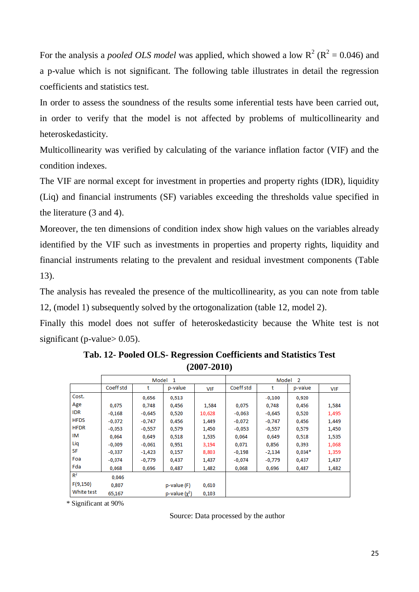For the analysis a *pooled OLS model* was applied, which showed a low  $R^2 (R^2 = 0.046)$  and a p-value which is not significant. The following table illustrates in detail the regression coefficients and statistics test.

In order to assess the soundness of the results some inferential tests have been carried out, in order to verify that the model is not affected by problems of multicollinearity and heteroskedasticity.

Multicollinearity was verified by calculating of the variance inflation factor (VIF) and the condition indexes.

The VIF are normal except for investment in properties and property rights (IDR), liquidity (Liq) and financial instruments (SF) variables exceeding the thresholds value specified in the literature (3 and 4).

Moreover, the ten dimensions of condition index show high values on the variables already identified by the VIF such as investments in properties and property rights, liquidity and financial instruments relating to the prevalent and residual investment components (Table 13).

The analysis has revealed the presence of the multicollinearity, as you can note from table 12, (model 1) subsequently solved by the ortogonalization (table 12, model 2).

Finally this model does not suffer of heteroskedasticity because the White test is not significant (p-value  $> 0.05$ ).

|                |           | Model    | -1                 |            | Model<br>$\overline{2}$ |          |          |            |  |  |
|----------------|-----------|----------|--------------------|------------|-------------------------|----------|----------|------------|--|--|
|                | Coeff std | t        | p-value            | <b>VIF</b> | Coeff std               | t        | p-value  | <b>VIF</b> |  |  |
| Cost.          |           | 0,656    | 0,513              |            |                         | $-0,100$ | 0,920    |            |  |  |
| Age            | 0,075     | 0,748    | 0,456              | 1,584      | 0,075                   | 0,748    | 0,456    | 1,584      |  |  |
| <b>IDR</b>     | $-0,168$  | $-0,645$ | 0,520              | 10,628     | $-0,063$                | $-0,645$ | 0,520    | 1,495      |  |  |
| <b>HFDS</b>    | $-0,072$  | $-0,747$ | 0,456              | 1,449      | $-0,072$                | $-0,747$ | 0,456    | 1,449      |  |  |
| <b>HFDR</b>    | $-0.053$  | $-0,557$ | 0,579              | 1,450      | $-0.053$                | $-0,557$ | 0,579    | 1,450      |  |  |
| IM             | 0,064     | 0,649    | 0,518              | 1,535      | 0,064                   | 0,649    | 0,518    | 1,535      |  |  |
| Liq            | $-0.009$  | $-0.061$ | 0,951              | 3,194      | 0,071                   | 0,856    | 0,393    | 1,068      |  |  |
| SF             | $-0,337$  | $-1,423$ | 0,157              | 8,803      | $-0,198$                | $-2,134$ | $0,034*$ | 1,359      |  |  |
| Foa            | $-0,074$  | -0,779   | 0,437              | 1,437      | -0,074                  | $-0,779$ | 0,437    | 1,437      |  |  |
| Fda            | 0,068     | 0,696    | 0,487              | 1,482      | 0,068                   | 0,696    | 0,487    | 1,482      |  |  |
| R <sup>2</sup> | 0.046     |          |                    |            |                         |          |          |            |  |  |
| F(9,150)       | 0,807     |          | p-value (F)        | 0,610      |                         |          |          |            |  |  |
| White test     | 65,167    |          | p-value $(\chi^2)$ | 0,103      |                         |          |          |            |  |  |

**Tab. 12- Pooled OLS- Regression Coefficients and Statistics Test (2007-2010)**

\* Significant at 90%

Source: Data processed by the author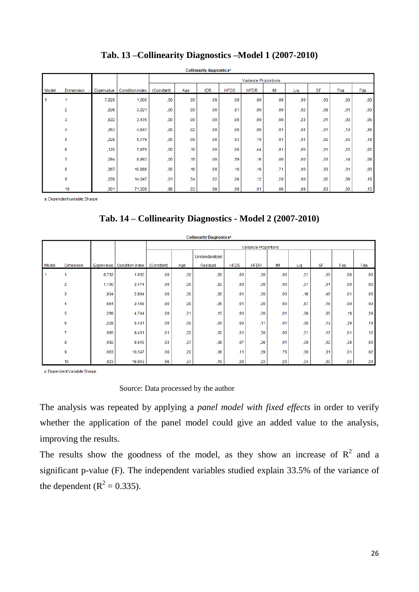|       | <b>Collinearity diagnostics<sup>a</sup></b> |            |                        |                      |     |            |                 |                  |     |     |           |      |     |
|-------|---------------------------------------------|------------|------------------------|----------------------|-----|------------|-----------------|------------------|-----|-----|-----------|------|-----|
|       |                                             |            |                        | Variance Proportions |     |            |                 |                  |     |     |           |      |     |
| Model | <b>Dimension</b>                            | Eigenvalue | <b>Condition index</b> | (Constant)           | Age | <b>IDR</b> | <b>HFDS</b>     | <b>HFDR</b>      | IM  | Lia | <b>SF</b> | Foa  | Fda |
|       | 1                                           | 7,629      | 1,000                  | .00                  | .00 | .00        | .00             | .00              | .00 | .00 | .00       | .00  | .00 |
|       | 2                                           | .836       | 3,021                  | ,00                  | .00 | .00        | ,01             | .00              | .00 | ,02 | .08       | ,01  | 00, |
|       | 3                                           | .632       | 3,475                  | .00                  | .00 | .00        | .00             | .00 <sub>1</sub> | .00 | .23 | .01       | ,00  | .05 |
|       | 4                                           | ,353       | 4,647                  | .00                  | ,02 | .00        | 00 <sub>1</sub> | 00 <sub>1</sub>  | ,01 | ,04 | ,01       | , 13 | ,36 |
|       | 5                                           | .228       | 5,779                  | ,00                  | .00 | 00,        | .03             | .10              | .01 | ,01 | .02       | .40  | .18 |
|       | 6                                           | ,120       | 7,979                  | .00                  | .10 | .00        | 00 <sub>1</sub> | .44              | .01 | ,00 | ,01       | .22  | ,02 |
|       | 7                                           | .094       | 8.993                  | .00                  | .15 | 00,        | .59             | .16              | .00 | 00, | .03       | .14  | .08 |
|       | 8                                           | ,067       | 10,688                 | .00                  | .16 | .00        | .10             | .16              | .71 | .00 | .00       | ,01  | .00 |
|       | 9                                           | ,039       | 14,047                 | ,01                  | .54 | ,02        | ,26             | .12              | .20 | ,00 | ,02       | ,09  | ,16 |
|       | 10                                          | ,001       | 71,509                 | .98                  | .03 | .98        | .00             | ,01              | .06 | ,69 | .83       | .00  | ,15 |

## **Tab. 13 –Collinearity Diagnostics –Model 1 (2007-2010)**

a. Dependent variable: Sharpe

## **Tab. 14 – Collinearity Diagnostics - Model 2 (2007-2010)**

| <b>Collinearity Diagnostics<sup>a</sup></b> |                |            |                        |                             |     |                |             |             |     |     |           |     |      |
|---------------------------------------------|----------------|------------|------------------------|-----------------------------|-----|----------------|-------------|-------------|-----|-----|-----------|-----|------|
|                                             |                |            |                        | <b>Variance Proportions</b> |     |                |             |             |     |     |           |     |      |
|                                             |                |            |                        |                             |     | Unstandardized |             |             |     |     |           |     |      |
| Model                                       | Dimension      | Eigenvalue | <b>Condition index</b> | (Constant)                  | Age | Residual       | <b>HFDS</b> | <b>HFDR</b> | IM  | Lig | <b>SF</b> | Foa | Fda  |
|                                             | ٠              | 6,732      | 1,000                  | ,00                         | ,00 | ,00            | ,00         | ,00         | ,00 | ,01 | ,00       | ,00 | 00,  |
|                                             | $\overline{2}$ | 1,100      | 2,474                  | .00                         | ,00 | ,52            | .00         | .00         | .00 | .01 | ,01       | .00 | .02  |
|                                             | 3              | ,804       | 2,894                  | .00                         | ,00 | ,00            | ,01         | .00         | ,00 | .16 | ,46       | ,01 | ,00  |
|                                             | 4              | .564       | 3,456                  | .00                         | ,00 | ,05            | ,01         | .00         | .00 | .67 | ,16       | ,00 | ,03  |
|                                             | 5              | ,299       | 4,744                  | ,00                         | ,01 | ,15            | .00         | ,00         | ,01 | ,06 | ,05       | ,18 | , 39 |
|                                             | 6              | .228       | 5,431                  | .00                         | ,00 | ,00            | ,03         | ,11         | ,01 | .05 | , 13      | .39 | ,19  |
|                                             | 7              | ,095       | 8,431                  | ,01                         | ,02 | ,02            | ,51         | .50         | .00 | .01 | ,17       | ,01 | , 12 |
|                                             | 8              | ,092       | 8,545                  | .03                         | ,37 | ,08            | ,07         | .26         | .01 | .00 | ,02       | .38 | 00,  |
|                                             | 9              | ,063       | 10,347                 | ,00                         | ,22 | ,06            | ,11         | ,09         | .76 | ,00 | ,01       | ,01 | ,02  |
|                                             | 10             | ,023       | 16,943                 | .96                         | ,37 | ,10            | ,26         | .03         | ,20 | .04 | ,00       | ,03 | , 24 |

a. Dependent Variabile: Sharpe

### Source: Data processed by the author

The analysis was repeated by applying a *panel model with fixed effects* in order to verify whether the application of the panel model could give an added value to the analysis, improving the results.

The results show the goodness of the model, as they show an increase of  $\mathbb{R}^2$  and a significant p-value (F). The independent variables studied explain 33.5% of the variance of the dependent ( $R^2 = 0.335$ ).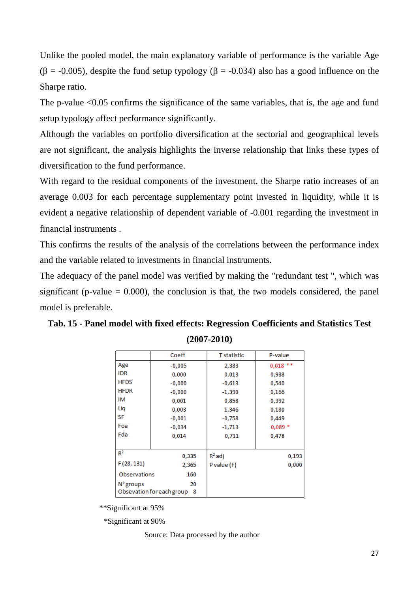Unlike the pooled model, the main explanatory variable of performance is the variable Age ( $\beta$  = -0.005), despite the fund setup typology ( $\beta$  = -0.034) also has a good influence on the Sharpe ratio.

The p-value <0.05 confirms the significance of the same variables, that is, the age and fund setup typology affect performance significantly.

Although the variables on portfolio diversification at the sectorial and geographical levels are not significant, the analysis highlights the inverse relationship that links these types of diversification to the fund performance.

With regard to the residual components of the investment, the Sharpe ratio increases of an average 0.003 for each percentage supplementary point invested in liquidity, while it is evident a negative relationship of dependent variable of -0.001 regarding the investment in financial instruments .

This confirms the results of the analysis of the correlations between the performance index and the variable related to investments in financial instruments.

The adequacy of the panel model was verified by making the "redundant test ", which was significant (p-value  $= 0.000$ ), the conclusion is that, the two models considered, the panel model is preferable.

|              | Coeff                             | <b>T</b> statistic | P-value    |
|--------------|-----------------------------------|--------------------|------------|
| Age          | $-0,005$                          | 2,383              | $0,018$ ** |
| <b>IDR</b>   | 0,000                             | 0,013              | 0,988      |
| <b>HFDS</b>  | $-0,000$                          | $-0,613$           | 0,540      |
| <b>HFDR</b>  | $-0,000$                          | $-1,390$           | 0,166      |
| ΙM           | 0,001                             | 0,858              | 0,392      |
| Liq          | 0,003                             | 1,346              | 0,180      |
| <b>SF</b>    | $-0,001$                          | $-0,758$           | 0,449      |
| Foa          | $-0,034$                          | $-1,713$           | $0,089*$   |
| Fda          | 0,014                             | 0,711              | 0,478      |
|              |                                   |                    |            |
| $R^2$        | 0,335                             | $R^2$ adj          | 0,193      |
| F(28, 131)   | 2,365                             | P value (F)        | 0,000      |
| Observations | 160                               |                    |            |
| N° groups    | 20<br>Obsevation for each group 8 |                    |            |

**Tab. 15 - Panel model with fixed effects: Regression Coefficients and Statistics Test (2007-2010)**

\*\*Significant at 95%

\*Significant at 90%

Source: Data processed by the author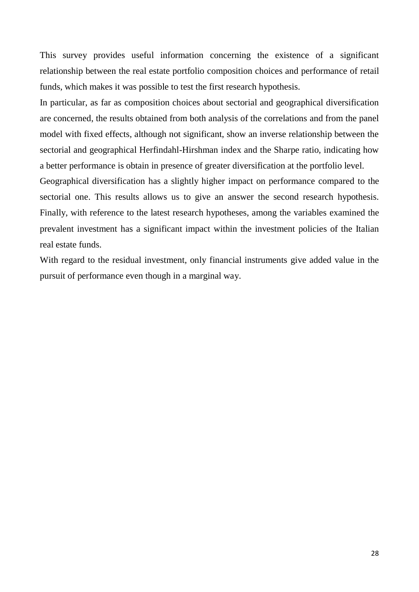This survey provides useful information concerning the existence of a significant relationship between the real estate portfolio composition choices and performance of retail funds, which makes it was possible to test the first research hypothesis.

In particular, as far as composition choices about sectorial and geographical diversification are concerned, the results obtained from both analysis of the correlations and from the panel model with fixed effects, although not significant, show an inverse relationship between the sectorial and geographical Herfindahl-Hirshman index and the Sharpe ratio, indicating how a better performance is obtain in presence of greater diversification at the portfolio level.

Geographical diversification has a slightly higher impact on performance compared to the sectorial one. This results allows us to give an answer the second research hypothesis. Finally, with reference to the latest research hypotheses, among the variables examined the prevalent investment has a significant impact within the investment policies of the Italian real estate funds.

With regard to the residual investment, only financial instruments give added value in the pursuit of performance even though in a marginal way.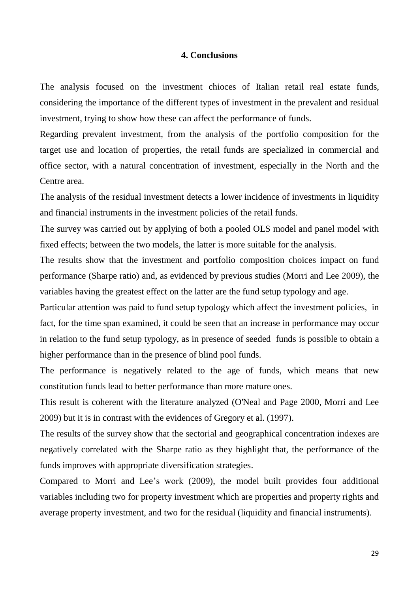### **4. Conclusions**

The analysis focused on the investment chioces of Italian retail real estate funds, considering the importance of the different types of investment in the prevalent and residual investment, trying to show how these can affect the performance of funds.

Regarding prevalent investment, from the analysis of the portfolio composition for the target use and location of properties, the retail funds are specialized in commercial and office sector, with a natural concentration of investment, especially in the North and the Centre area.

The analysis of the residual investment detects a lower incidence of investments in liquidity and financial instruments in the investment policies of the retail funds.

The survey was carried out by applying of both a pooled OLS model and panel model with fixed effects; between the two models, the latter is more suitable for the analysis.

The results show that the investment and portfolio composition choices impact on fund performance (Sharpe ratio) and, as evidenced by previous studies (Morri and Lee 2009), the variables having the greatest effect on the latter are the fund setup typology and age.

Particular attention was paid to fund setup typology which affect the investment policies, in fact, for the time span examined, it could be seen that an increase in performance may occur in relation to the fund setup typology, as in presence of seeded funds is possible to obtain a higher performance than in the presence of blind pool funds.

The performance is negatively related to the age of funds, which means that new constitution funds lead to better performance than more mature ones.

This result is coherent with the literature analyzed (O'Neal and Page 2000, Morri and Lee 2009) but it is in contrast with the evidences of Gregory et al. (1997).

The results of the survey show that the sectorial and geographical concentration indexes are negatively correlated with the Sharpe ratio as they highlight that, the performance of the funds improves with appropriate diversification strategies.

Compared to Morri and Lee's work (2009), the model built provides four additional variables including two for property investment which are properties and property rights and average property investment, and two for the residual (liquidity and financial instruments).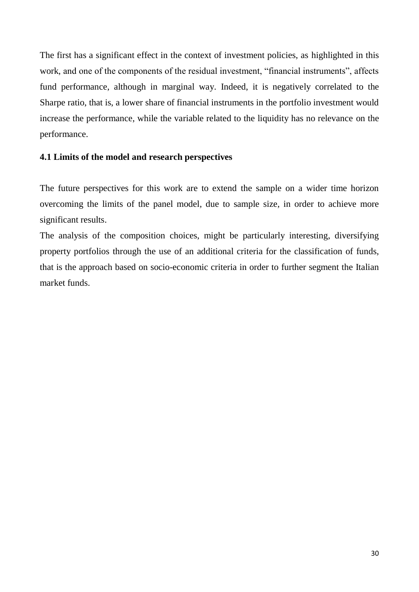The first has a significant effect in the context of investment policies, as highlighted in this work, and one of the components of the residual investment, "financial instruments", affects fund performance, although in marginal way. Indeed, it is negatively correlated to the Sharpe ratio, that is, a lower share of financial instruments in the portfolio investment would increase the performance, while the variable related to the liquidity has no relevance on the performance.

### **4.1 Limits of the model and research perspectives**

The future perspectives for this work are to extend the sample on a wider time horizon overcoming the limits of the panel model, due to sample size, in order to achieve more significant results.

The analysis of the composition choices, might be particularly interesting, diversifying property portfolios through the use of an additional criteria for the classification of funds, that is the approach based on socio-economic criteria in order to further segment the Italian market funds.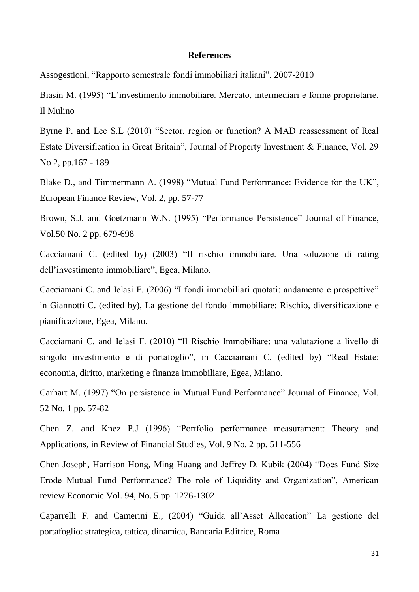#### **References**

Assogestioni, "Rapporto semestrale fondi immobiliari italiani", 2007-2010

Biasin M. (1995) "L'investimento immobiliare. Mercato, intermediari e forme proprietarie. Il Mulino

Byrne P. and Lee S.L (2010) "Sector, region or function? A MAD reassessment of Real Estate Diversification in Great Britain", Journal of Property Investment & Finance, Vol. 29 No 2, pp.167 - 189

Blake D., and Timmermann A. (1998) "Mutual Fund Performance: Evidence for the UK", European Finance Review, Vol. 2, pp. 57-77

Brown, S.J. and Goetzmann W.N. (1995) "Performance Persistence" Journal of Finance, Vol.50 No. 2 pp. 679-698

Cacciamani C. (edited by) (2003) "Il rischio immobiliare. Una soluzione di rating dell'investimento immobiliare", Egea, Milano.

Cacciamani C. and Ielasi F. (2006) "I fondi immobiliari quotati: andamento e prospettive" in Giannotti C. (edited by), La gestione del fondo immobiliare: Rischio, diversificazione e pianificazione, Egea, Milano.

Cacciamani C. and Ielasi F. (2010) "Il Rischio Immobiliare: una valutazione a livello di singolo investimento e di portafoglio", in Cacciamani C. (edited by) "Real Estate: economia, diritto, marketing e finanza immobiliare, Egea, Milano.

Carhart M. (1997) "On persistence in Mutual Fund Performance" Journal of Finance, Vol. 52 No. 1 pp. 57-82

Chen Z. and Knez P.J (1996) "Portfolio performance measurament: Theory and Applications, in Review of Financial Studies, Vol. 9 No. 2 pp. 511-556

Chen Joseph, Harrison Hong, Ming Huang and Jeffrey D. Kubik (2004) "Does Fund Size Erode Mutual Fund Performance? The role of Liquidity and Organization", American review Economic Vol. 94, No. 5 pp. 1276-1302

Caparrelli F. and Camerini E., (2004) "Guida all'Asset Allocation" La gestione del portafoglio: strategica, tattica, dinamica, Bancaria Editrice, Roma

31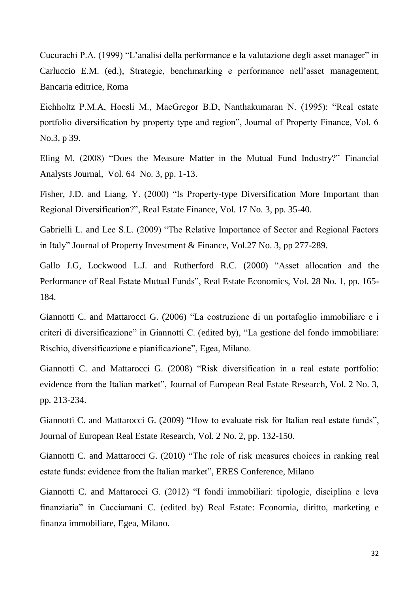Cucurachi P.A. (1999) "L'analisi della performance e la valutazione degli asset manager" in Carluccio E.M. (ed.), Strategie, benchmarking e performance nell'asset management, Bancaria editrice, Roma

Eichholtz P.M.A, Hoesli M., MacGregor B.D, Nanthakumaran N. (1995): "Real estate portfolio diversification by property type and region", Journal of Property Finance, Vol. 6 No.3, p 39.

Eling M. (2008) "Does the Measure Matter in the Mutual Fund Industry?" Financial Analysts Journal, Vol. 64 No. 3, pp. 1-13.

Fisher, J.D. and Liang, Y. (2000) "Is Property-type Diversification More Important than Regional Diversification?", Real Estate Finance, Vol. 17 No. 3, pp. 35-40.

Gabrielli L. and Lee S.L. (2009) "The Relative Importance of Sector and Regional Factors in Italy" Journal of Property Investment & Finance, Vol.27 No. 3, pp 277-289.

Gallo J.G, Lockwood L.J. and Rutherford R.C. (2000) "Asset allocation and the Performance of Real Estate Mutual Funds", Real Estate Economics, Vol. 28 No. 1, pp. 165- 184.

Giannotti C. and Mattarocci G. (2006) "La costruzione di un portafoglio immobiliare e i criteri di diversificazione" in Giannotti C. (edited by), "La gestione del fondo immobiliare: Rischio, diversificazione e pianificazione", Egea, Milano.

Giannotti C. and Mattarocci G. (2008) "Risk diversification in a real estate portfolio: evidence from the Italian market", Journal of European Real Estate Research, Vol. 2 No. 3, pp. 213-234.

Giannotti C. and Mattarocci G. (2009) "How to evaluate risk for Italian real estate funds", Journal of European Real Estate Research, Vol. 2 No. 2, pp. 132-150.

Giannotti C. and Mattarocci G. (2010) "The role of risk measures choices in ranking real estate funds: evidence from the Italian market", ERES Conference, Milano

Giannotti C. and Mattarocci G. (2012) "I fondi immobiliari: tipologie, disciplina e leva finanziaria" in Cacciamani C. (edited by) Real Estate: Economia, diritto, marketing e finanza immobiliare, Egea, Milano.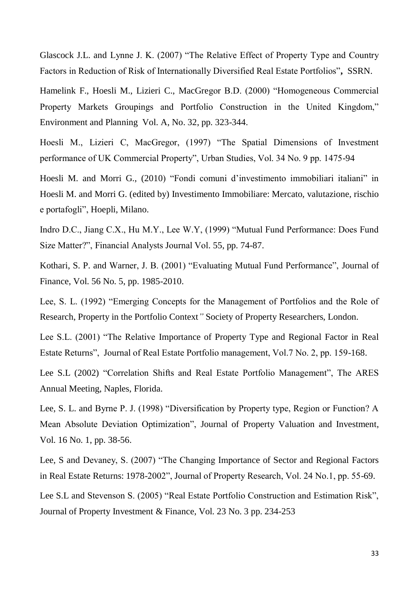Glascock J.L. and Lynne J. K. (2007) "The Relative Effect of Property Type and Country Factors in Reduction of Risk of Internationally Diversified Real Estate Portfolios"**,** SSRN.

Hamelink F., Hoesli M., Lizieri C., MacGregor B.D. (2000) "Homogeneous Commercial Property Markets Groupings and Portfolio Construction in the United Kingdom," Environment and Planning Vol. A, No. 32, pp. 323-344.

Hoesli M., Lizieri C, MacGregor, (1997) "The Spatial Dimensions of Investment performance of UK Commercial Property", Urban Studies, Vol. 34 No. 9 pp. 1475-94

Hoesli M. and Morri G., (2010) "Fondi comuni d'investimento immobiliari italiani" in Hoesli M. and Morri G. (edited by) Investimento Immobiliare: Mercato, valutazione, rischio e portafogli", Hoepli, Milano.

Indro D.C., Jiang C.X., Hu M.Y., Lee W.Y, (1999) "Mutual Fund Performance: Does Fund Size Matter?", Financial Analysts Journal Vol. 55, pp. 74-87.

Kothari, S. P. and Warner, J. B. (2001) "Evaluating Mutual Fund Performance", Journal of Finance, Vol. 56 No. 5, pp. 1985-2010.

Lee, S. L. (1992) "Emerging Concepts for the Management of Portfolios and the Role of Research, Property in the Portfolio Context*"* Society of Property Researchers, London.

Lee S.L. (2001) "The Relative Importance of Property Type and Regional Factor in Real Estate Returns", Journal of Real Estate Portfolio management, Vol.7 No. 2, pp. 159-168.

Lee S.L (2002) "Correlation Shifts and Real Estate Portfolio Management", The ARES Annual Meeting, Naples, Florida.

Lee, S. L. and Byrne P. J. (1998) "Diversification by Property type, Region or Function? A Mean Absolute Deviation Optimization", Journal of Property Valuation and Investment, Vol. 16 No. 1, pp. 38-56.

Lee, S and Devaney, S. (2007) "The Changing Importance of Sector and Regional Factors in Real Estate Returns: 1978-2002", Journal of Property Research, Vol. 24 No.1, pp. 55-69.

Lee S.L and Stevenson S. (2005) "Real Estate Portfolio Construction and Estimation Risk", Journal of Property Investment & Finance, Vol. 23 No. 3 pp. 234-253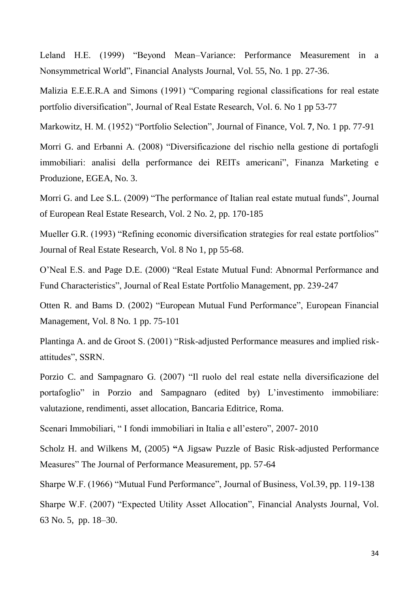Leland H.E. (1999) "Beyond Mean–Variance: Performance Measurement in a Nonsymmetrical World", Financial Analysts Journal, Vol. 55, No. 1 pp. 27-36.

Malizia E.E.E.R.A and Simons (1991) "Comparing regional classifications for real estate portfolio diversification", Journal of Real Estate Research, Vol. 6. No 1 pp 53-77

Markowitz, H. M. (1952) "Portfolio Selection", Journal of Finance, Vol. **7**, No. 1 pp. 77-91

Morri G. and Erbanni A. (2008) "Diversificazione del rischio nella gestione di portafogli immobiliari: analisi della performance dei REITs americani", Finanza Marketing e Produzione, EGEA, No. 3.

Morri G. and Lee S.L. (2009) "The performance of Italian real estate mutual funds", Journal of European Real Estate Research, Vol. 2 No. 2, pp. 170-185

Mueller G.R. (1993) "Refining economic diversification strategies for real estate portfolios" Journal of Real Estate Research, Vol. 8 No 1, pp 55-68.

O'Neal E.S. and Page D.E. (2000) "Real Estate Mutual Fund: Abnormal Performance and Fund Characteristics", Journal of Real Estate Portfolio Management, pp. 239-247

Otten R. and Bams D. (2002) "European Mutual Fund Performance", European Financial Management, Vol. 8 No. 1 pp. 75-101

Plantinga A. and de Groot S. (2001) "Risk-adjusted Performance measures and implied riskattitudes", SSRN.

Porzio C. and Sampagnaro G. (2007) "Il ruolo del real estate nella diversificazione del portafoglio" in Porzio and Sampagnaro (edited by) L'investimento immobiliare: valutazione, rendimenti, asset allocation, Bancaria Editrice, Roma.

Scenari Immobiliari, " I fondi immobiliari in Italia e all'estero", 2007- 2010

Scholz H. and Wilkens M, (2005) **"**A Jigsaw Puzzle of Basic Risk-adjusted Performance Measures" The Journal of Performance Measurement, pp. 57-64

Sharpe W.F. (1966) "Mutual Fund Performance", Journal of Business, Vol.39, pp. 119-138

Sharpe W.F. (2007) "Expected Utility Asset Allocation", Financial Analysts Journal, Vol. 63 No. 5, pp. 18–30.